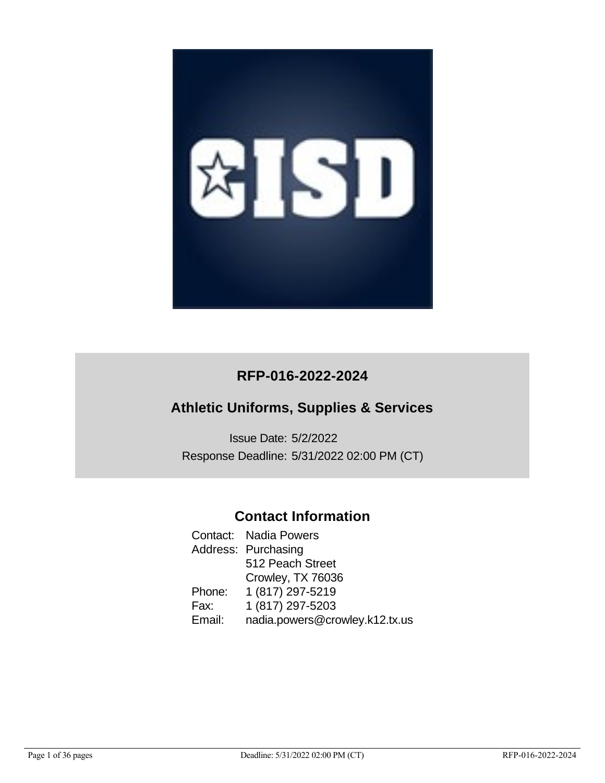

# **RFP-016-2022-2024**

# **Athletic Uniforms, Supplies & Services**

Issue Date: 5/2/2022 Response Deadline: 5/31/2022 02:00 PM (CT)

# **Contact Information**

Contact: Nadia Powers Address: Purchasing 512 Peach Street Crowley, TX 76036 Phone: 1 (817) 297-5219 Fax: 1 (817) 297-5203 Email: nadia.powers@crowley.k12.tx.us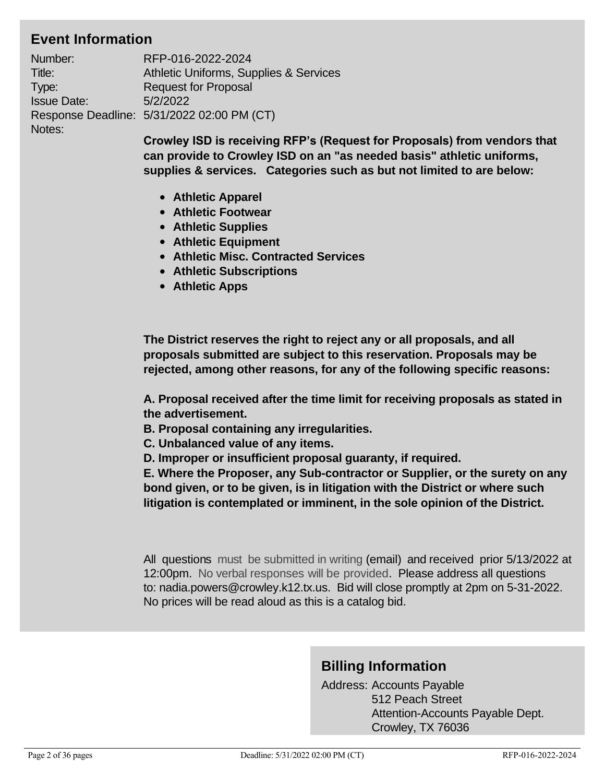# **Event Information**

| Number:            | RFP-016-2022-2024                          |
|--------------------|--------------------------------------------|
| Title:             | Athletic Uniforms, Supplies & Services     |
| Type:              | <b>Request for Proposal</b>                |
| <b>Issue Date:</b> | 5/2/2022                                   |
|                    | Response Deadline: 5/31/2022 02:00 PM (CT) |
| Notes:             |                                            |

**Crowley ISD is receiving RFP's (Request for Proposals) from vendors that can provide to Crowley ISD on an "as needed basis" athletic uniforms, supplies & services. Categories such as but not limited to are below:**

- **Athletic Apparel**
- **Athletic Footwear**
- **Athletic Supplies**
- **Athletic Equipment**
- **Athletic Misc. Contracted Services**
- **Athletic Subscriptions**
- **Athletic Apps**

**The District reserves the right to reject any or all proposals, and all proposals submitted are subject to this reservation. Proposals may be rejected, among other reasons, for any of the following specific reasons:**

**A. Proposal received after the time limit for receiving proposals as stated in the advertisement.**

**B. Proposal containing any irregularities.**

- **C. Unbalanced value of any items.**
- **D. Improper or insufficient proposal guaranty, if required.**

**E. Where the Proposer, any Sub-contractor or Supplier, or the surety on any bond given, or to be given, is in litigation with the District or where such litigation is contemplated or imminent, in the sole opinion of the District.**

All questions must be submitted in writing (email) and received prior 5/13/2022 at 12:00pm. No verbal responses will be provided. Please address all questions to: nadia.powers@crowley.k12.tx.us. Bid will close promptly at 2pm on 5-31-2022. No prices will be read aloud as this is a catalog bid.

# **Billing Information**

Address: Accounts Payable 512 Peach Street Attention-Accounts Payable Dept. Crowley, TX 76036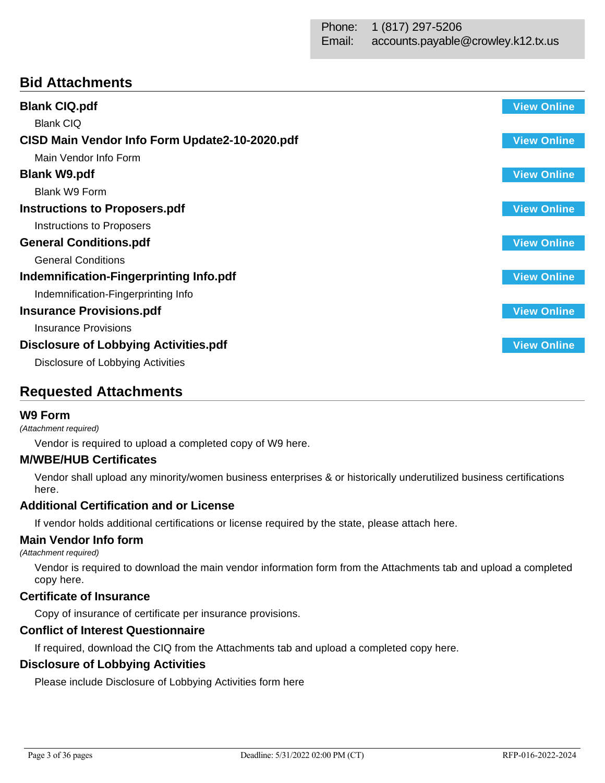# **Bid Attachments**

| <b>Blank CIQ.pdf</b>                           | <b>View Online</b> |
|------------------------------------------------|--------------------|
| <b>Blank CIQ</b>                               |                    |
| CISD Main Vendor Info Form Update2-10-2020.pdf | <b>View Online</b> |
| Main Vendor Info Form                          |                    |
| <b>Blank W9.pdf</b>                            | <b>View Online</b> |
| Blank W9 Form                                  |                    |
| <b>Instructions to Proposers.pdf</b>           | <b>View Online</b> |
| Instructions to Proposers                      |                    |
| <b>General Conditions.pdf</b>                  | <b>View Online</b> |
| <b>General Conditions</b>                      |                    |
| Indemnification-Fingerprinting Info.pdf        | <b>View Online</b> |
| Indemnification-Fingerprinting Info            |                    |
| <b>Insurance Provisions.pdf</b>                | <b>View Online</b> |
| <b>Insurance Provisions</b>                    |                    |
| <b>Disclosure of Lobbying Activities.pdf</b>   | <b>View Online</b> |
| Disclosure of Lobbying Activities              |                    |

# **Requested Attachments**

# **W9 Form**

## *(Attachment required)*

Vendor is required to upload a completed copy of W9 here.

# **M/WBE/HUB Certificates**

Vendor shall upload any minority/women business enterprises & or historically underutilized business certifications here.

# **Additional Certification and or License**

If vendor holds additional certifications or license required by the state, please attach here.

# **Main Vendor Info form**

*(Attachment required)*

Vendor is required to download the main vendor information form from the Attachments tab and upload a completed copy here.

# **Certificate of Insurance**

Copy of insurance of certificate per insurance provisions.

# **Conflict of Interest Questionnaire**

If required, download the CIQ from the Attachments tab and upload a completed copy here.

# **Disclosure of Lobbying Activities**

Please include Disclosure of Lobbying Activities form here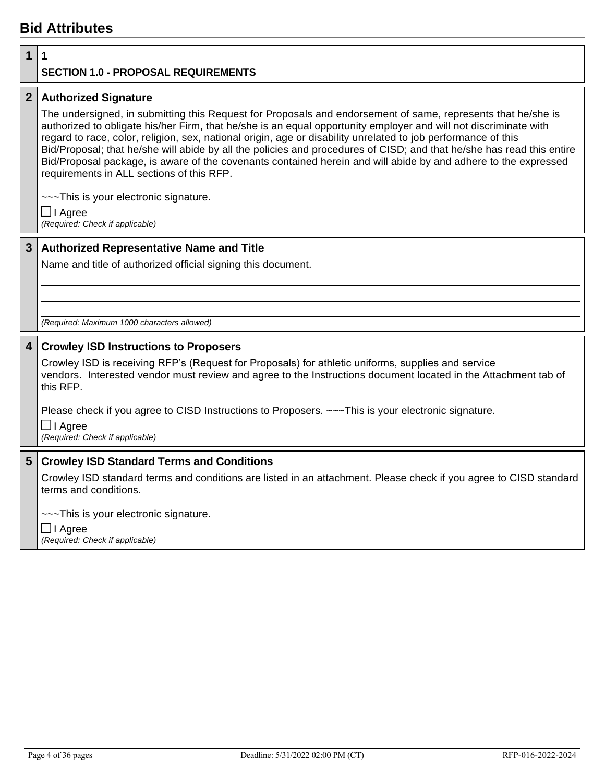# **Bid Attributes**

# **1 1**

# **SECTION 1.0 - PROPOSAL REQUIREMENTS**

# **2 Authorized Signature**

The undersigned, in submitting this Request for Proposals and endorsement of same, represents that he/she is authorized to obligate his/her Firm, that he/she is an equal opportunity employer and will not discriminate with regard to race, color, religion, sex, national origin, age or disability unrelated to job performance of this Bid/Proposal; that he/she will abide by all the policies and procedures of CISD; and that he/she has read this entire Bid/Proposal package, is aware of the covenants contained herein and will abide by and adhere to the expressed requirements in ALL sections of this RFP.

~~~This is your electronic signature.

**□** I Agree *(Required: Check if applicable)*

# **3 Authorized Representative Name and Title**

Name and title of authorized official signing this document.

*(Required: Maximum 1000 characters allowed)*

# **4 Crowley ISD Instructions to Proposers**

Crowley ISD is receiving RFP's (Request for Proposals) for athletic uniforms, supplies and service vendors. Interested vendor must review and agree to the Instructions document located in the Attachment tab of this RFP.

Please check if you agree to CISD Instructions to Proposers. ~~~This is your electronic signature.

I Agree

*(Required: Check if applicable)*

# **5 Crowley ISD Standard Terms and Conditions**

Crowley ISD standard terms and conditions are listed in an attachment. Please check if you agree to CISD standard terms and conditions.

~~~This is your electronic signature.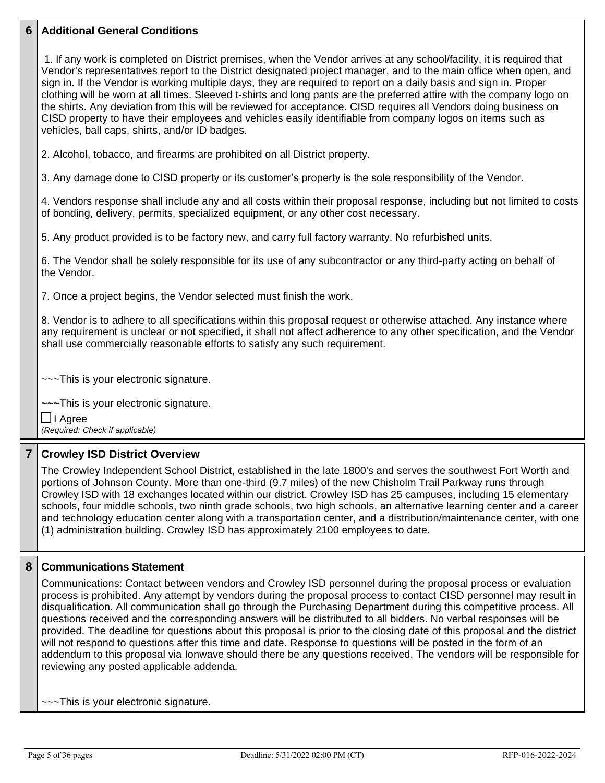# **6 Additional General Conditions**

1. If any work is completed on District premises, when the Vendor arrives at any school/facility, it is required that Vendor's representatives report to the District designated project manager, and to the main office when open, and sign in. If the Vendor is working multiple days, they are required to report on a daily basis and sign in. Proper clothing will be worn at all times. Sleeved t-shirts and long pants are the preferred attire with the company logo on the shirts. Any deviation from this will be reviewed for acceptance. CISD requires all Vendors doing business on CISD property to have their employees and vehicles easily identifiable from company logos on items such as vehicles, ball caps, shirts, and/or ID badges.

2. Alcohol, tobacco, and firearms are prohibited on all District property.

3. Any damage done to CISD property or its customer's property is the sole responsibility of the Vendor.

4. Vendors response shall include any and all costs within their proposal response, including but not limited to costs of bonding, delivery, permits, specialized equipment, or any other cost necessary.

5. Any product provided is to be factory new, and carry full factory warranty. No refurbished units.

6. The Vendor shall be solely responsible for its use of any subcontractor or any third-party acting on behalf of the Vendor.

7. Once a project begins, the Vendor selected must finish the work.

8. Vendor is to adhere to all specifications within this proposal request or otherwise attached. Any instance where any requirement is unclear or not specified, it shall not affect adherence to any other specification, and the Vendor shall use commercially reasonable efforts to satisfy any such requirement.

~~~This is your electronic signature.

~~~This is your electronic signature.

**□** I Agree *(Required: Check if applicable)*

# **7 Crowley ISD District Overview**

The Crowley Independent School District, established in the late 1800's and serves the southwest Fort Worth and portions of Johnson County. More than one-third (9.7 miles) of the new Chisholm Trail Parkway runs through Crowley ISD with 18 exchanges located within our district. Crowley ISD has 25 campuses, including 15 elementary schools, four middle schools, two ninth grade schools, two high schools, an alternative learning center and a career and technology education center along with a transportation center, and a distribution/maintenance center, with one (1) administration building. Crowley ISD has approximately 2100 employees to date.

## **8 Communications Statement**

Communications: Contact between vendors and Crowley ISD personnel during the proposal process or evaluation process is prohibited. Any attempt by vendors during the proposal process to contact CISD personnel may result in disqualification. All communication shall go through the Purchasing Department during this competitive process. All questions received and the corresponding answers will be distributed to all bidders. No verbal responses will be provided. The deadline for questions about this proposal is prior to the closing date of this proposal and the district will not respond to questions after this time and date. Response to questions will be posted in the form of an addendum to this proposal via Ionwave should there be any questions received. The vendors will be responsible for reviewing any posted applicable addenda.

~~~This is your electronic signature.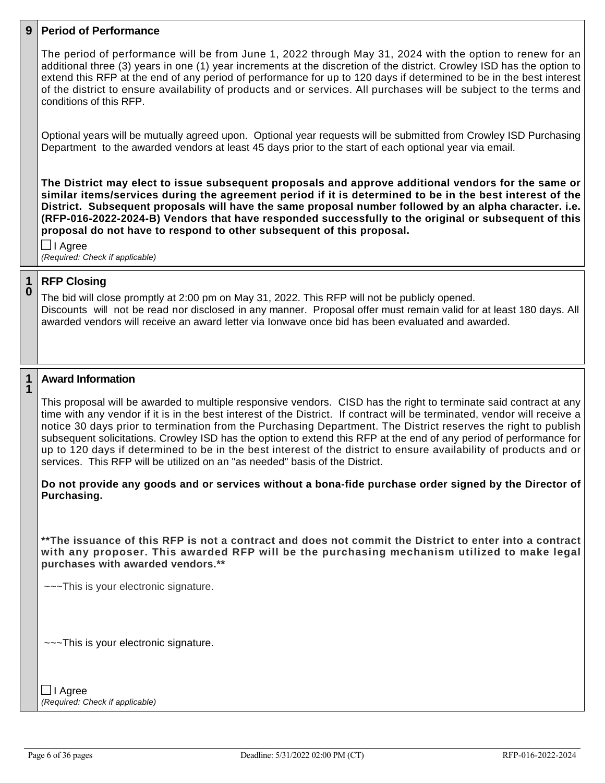## **9 Period of Performance**

The period of performance will be from June 1, 2022 through May 31, 2024 with the option to renew for an additional three (3) years in one (1) year increments at the discretion of the district. Crowley ISD has the option to extend this RFP at the end of any period of performance for up to 120 days if determined to be in the best interest of the district to ensure availability of products and or services. All purchases will be subject to the terms and conditions of this RFP.

Optional years will be mutually agreed upon. Optional year requests will be submitted from Crowley ISD Purchasing Department to the awarded vendors at least 45 days prior to the start of each optional year via email.

**The District may elect to issue subsequent proposals and approve additional vendors for the same or similar items/services during the agreement period if it is determined to be in the best interest of the District. Subsequent proposals will have the same proposal number followed by an alpha character. i.e. (RFP-016-2022-2024-B) Vendors that have responded successfully to the original or subsequent of this proposal do not have to respond to other subsequent of this proposal.**

I Agree *(Required: Check if applicable)*

#### **1 0 RFP Closing**

The bid will close promptly at 2:00 pm on May 31, 2022. This RFP will not be publicly opened. Discounts will not be read nor disclosed in any manner. Proposal offer must remain valid for at least 180 days. All awarded vendors will receive an award letter via Ionwave once bid has been evaluated and awarded.

#### **1 1 Award Information**

This proposal will be awarded to multiple responsive vendors. CISD has the right to terminate said contract at any time with any vendor if it is in the best interest of the District. If contract will be terminated, vendor will receive a notice 30 days prior to termination from the Purchasing Department. The District reserves the right to publish subsequent solicitations. Crowley ISD has the option to extend this RFP at the end of any period of performance for up to 120 days if determined to be in the best interest of the district to ensure availability of products and or services. This RFP will be utilized on an "as needed" basis of the District.

# **Do not provide any goods and or services without a bona-fide purchase order signed by the Director of Purchasing.**

**\*\*The issuance of this RFP is not a contract and does not commit the District to enter into a contract with any proposer. This awarded RFP will be the purchasing mechanism utilized to make legal purchases with awarded vendors.\*\***

~~~This is your electronic signature.

~~~This is your electronic signature.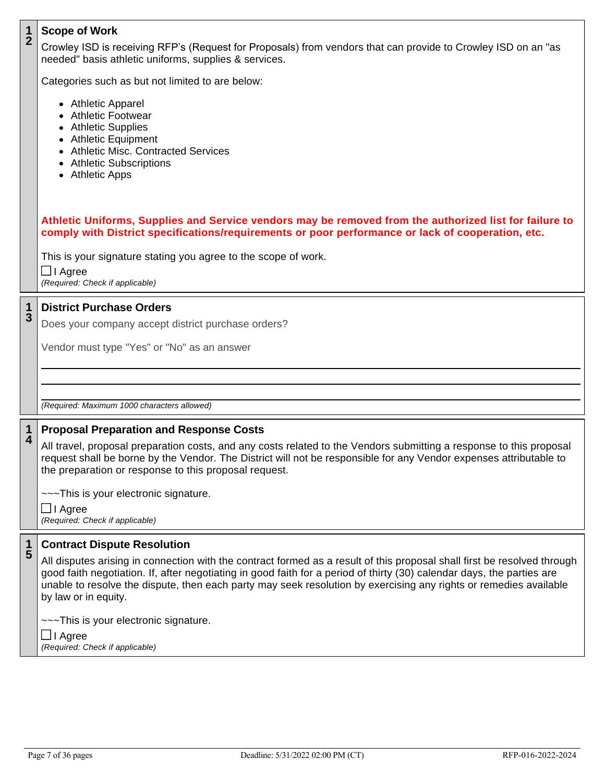### **1 2 Scope of Work**

Crowley ISD is receiving RFP's (Request for Proposals) from vendors that can provide to Crowley ISD on an "as needed" basis athletic uniforms, supplies & services.

Categories such as but not limited to are below:

- Athletic Apparel
- Athletic Footwear
- Athletic Supplies
- Athletic Equipment
- Athletic Misc. Contracted Services
- Athletic Subscriptions
- Athletic Apps

**Athletic Uniforms, Supplies and Service vendors may be removed from the authorized list for failure to comply with District specifications/requirements or poor performance or lack of cooperation, etc.**

This is your signature stating you agree to the scope of work.

**□** I Agree *(Required: Check if applicable)*

### **1 3 District Purchase Orders**

Does your company accept district purchase orders?

Vendor must type "Yes" or "No" as an answer

*(Required: Maximum 1000 characters allowed)*

#### **1 4 Proposal Preparation and Response Costs**

All travel, proposal preparation costs, and any costs related to the Vendors submitting a response to this proposal request shall be borne by the Vendor. The District will not be responsible for any Vendor expenses attributable to the preparation or response to this proposal request.

~~~This is your electronic signature.

I Agree *(Required: Check if applicable)*

#### **1 5 Contract Dispute Resolution**

All disputes arising in connection with the contract formed as a result of this proposal shall first be resolved through good faith negotiation. If, after negotiating in good faith for a period of thirty (30) calendar days, the parties are unable to resolve the dispute, then each party may seek resolution by exercising any rights or remedies available by law or in equity.

~~~This is your electronic signature.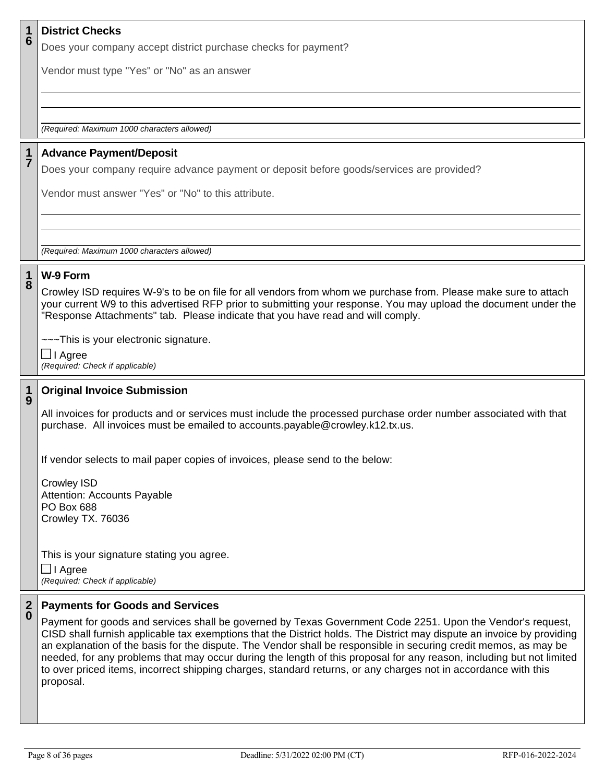| 1             | <b>District Checks</b>                                                                                                                                                                                                                                                                                                                                                                                        |
|---------------|---------------------------------------------------------------------------------------------------------------------------------------------------------------------------------------------------------------------------------------------------------------------------------------------------------------------------------------------------------------------------------------------------------------|
| 6             | Does your company accept district purchase checks for payment?                                                                                                                                                                                                                                                                                                                                                |
|               | Vendor must type "Yes" or "No" as an answer                                                                                                                                                                                                                                                                                                                                                                   |
|               |                                                                                                                                                                                                                                                                                                                                                                                                               |
|               |                                                                                                                                                                                                                                                                                                                                                                                                               |
|               | (Required: Maximum 1000 characters allowed)                                                                                                                                                                                                                                                                                                                                                                   |
| $\frac{1}{7}$ | <b>Advance Payment/Deposit</b>                                                                                                                                                                                                                                                                                                                                                                                |
|               | Does your company require advance payment or deposit before goods/services are provided?                                                                                                                                                                                                                                                                                                                      |
|               | Vendor must answer "Yes" or "No" to this attribute.                                                                                                                                                                                                                                                                                                                                                           |
|               |                                                                                                                                                                                                                                                                                                                                                                                                               |
|               |                                                                                                                                                                                                                                                                                                                                                                                                               |
|               | (Required: Maximum 1000 characters allowed)                                                                                                                                                                                                                                                                                                                                                                   |
| $\mathbf 1$   | W-9 Form                                                                                                                                                                                                                                                                                                                                                                                                      |
| 8             | Crowley ISD requires W-9's to be on file for all vendors from whom we purchase from. Please make sure to attach                                                                                                                                                                                                                                                                                               |
|               | your current W9 to this advertised RFP prior to submitting your response. You may upload the document under the<br>"Response Attachments" tab. Please indicate that you have read and will comply.                                                                                                                                                                                                            |
|               | ---This is your electronic signature.                                                                                                                                                                                                                                                                                                                                                                         |
|               | $\Box$ I Agree                                                                                                                                                                                                                                                                                                                                                                                                |
|               | (Required: Check if applicable)                                                                                                                                                                                                                                                                                                                                                                               |
| $\frac{1}{9}$ | <b>Original Invoice Submission</b>                                                                                                                                                                                                                                                                                                                                                                            |
|               | All invoices for products and or services must include the processed purchase order number associated with that                                                                                                                                                                                                                                                                                               |
|               | purchase. All invoices must be emailed to accounts.payable@crowley.k12.tx.us.                                                                                                                                                                                                                                                                                                                                 |
|               | If vendor selects to mail paper copies of invoices, please send to the below:                                                                                                                                                                                                                                                                                                                                 |
|               | <b>Crowley ISD</b>                                                                                                                                                                                                                                                                                                                                                                                            |
|               | Attention: Accounts Payable                                                                                                                                                                                                                                                                                                                                                                                   |
|               | <b>PO Box 688</b><br>Crowley TX. 76036                                                                                                                                                                                                                                                                                                                                                                        |
|               |                                                                                                                                                                                                                                                                                                                                                                                                               |
|               | This is your signature stating you agree.                                                                                                                                                                                                                                                                                                                                                                     |
|               | $\Box$ I Agree<br>(Required: Check if applicable)                                                                                                                                                                                                                                                                                                                                                             |
|               |                                                                                                                                                                                                                                                                                                                                                                                                               |
|               |                                                                                                                                                                                                                                                                                                                                                                                                               |
|               | CISD shall furnish applicable tax exemptions that the District holds. The District may dispute an invoice by providing                                                                                                                                                                                                                                                                                        |
|               |                                                                                                                                                                                                                                                                                                                                                                                                               |
|               | to over priced items, incorrect shipping charges, standard returns, or any charges not in accordance with this                                                                                                                                                                                                                                                                                                |
| $\frac{2}{0}$ | <b>Payments for Goods and Services</b><br>Payment for goods and services shall be governed by Texas Government Code 2251. Upon the Vendor's request,<br>an explanation of the basis for the dispute. The Vendor shall be responsible in securing credit memos, as may be<br>needed, for any problems that may occur during the length of this proposal for any reason, including but not limited<br>proposal. |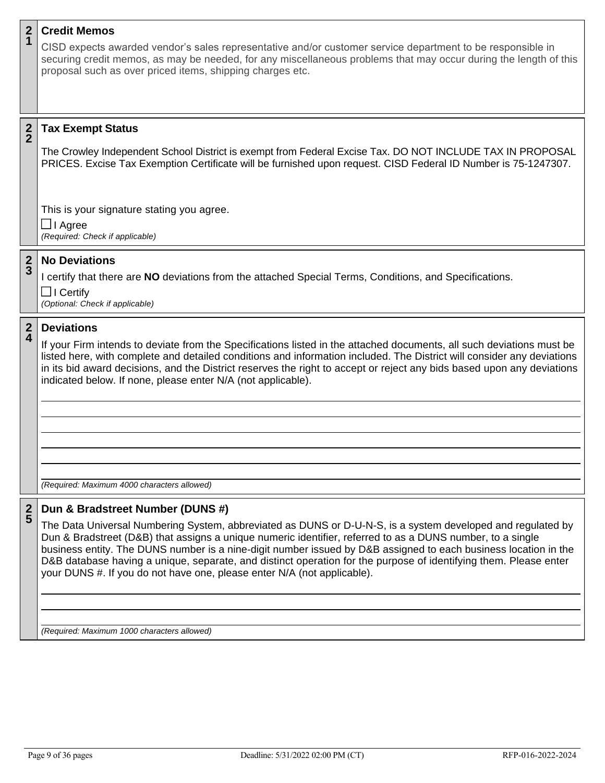### **2 1 Credit Memos**

CISD expects awarded vendor's sales representative and/or customer service department to be responsible in securing credit memos, as may be needed, for any miscellaneous problems that may occur during the length of this proposal such as over priced items, shipping charges etc.

#### **2 2 Tax Exempt Status**

The Crowley Independent School District is exempt from Federal Excise Tax. DO NOT INCLUDE TAX IN PROPOSAL PRICES. Excise Tax Exemption Certificate will be furnished upon request. CISD Federal ID Number is 75-1247307.

This is your signature stating you agree. **□** I Agree *(Required: Check if applicable)*

### **2 3 No Deviations**

I certify that there are **NO** deviations from the attached Special Terms, Conditions, and Specifications.  $\Box$  I Certify

*(Optional: Check if applicable)*

#### **2 4 Deviations**

If your Firm intends to deviate from the Specifications listed in the attached documents, all such deviations must be listed here, with complete and detailed conditions and information included. The District will consider any deviations in its bid award decisions, and the District reserves the right to accept or reject any bids based upon any deviations indicated below. If none, please enter N/A (not applicable).

*(Required: Maximum 4000 characters allowed)*

#### **2 5 Dun & Bradstreet Number (DUNS #)**

The Data Universal Numbering System, abbreviated as DUNS or D-U-N-S, is a system developed and regulated by Dun & Bradstreet (D&B) that assigns a unique numeric identifier, referred to as a DUNS number, to a single business entity. The DUNS number is a nine-digit number issued by D&B assigned to each business location in the D&B database having a unique, separate, and distinct operation for the purpose of identifying them. Please enter your DUNS #. If you do not have one, please enter N/A (not applicable).

*(Required: Maximum 1000 characters allowed)*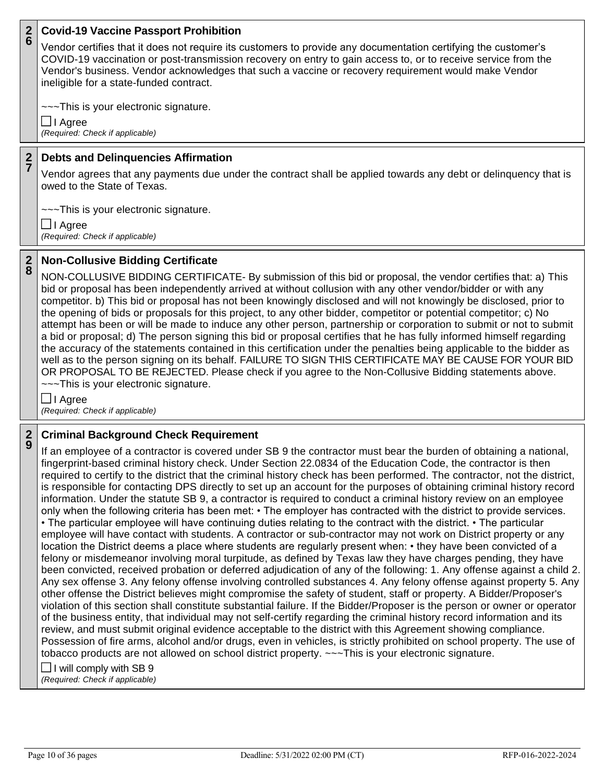#### **2 6 Covid-19 Vaccine Passport Prohibition**

Vendor certifies that it does not require its customers to provide any documentation certifying the customer's COVID-19 vaccination or post-transmission recovery on entry to gain access to, or to receive service from the Vendor's business. Vendor acknowledges that such a vaccine or recovery requirement would make Vendor ineligible for a state-funded contract.

~~~This is your electronic signature.

I Agree *(Required: Check if applicable)*

### **2 7 Debts and Delinquencies Affirmation**

Vendor agrees that any payments due under the contract shall be applied towards any debt or delinquency that is owed to the State of Texas.

~~~This is your electronic signature.

**□** I Agree *(Required: Check if applicable)*

#### **2 8 Non-Collusive Bidding Certificate**

NON-COLLUSIVE BIDDING CERTIFICATE- By submission of this bid or proposal, the vendor certifies that: a) This bid or proposal has been independently arrived at without collusion with any other vendor/bidder or with any competitor. b) This bid or proposal has not been knowingly disclosed and will not knowingly be disclosed, prior to the opening of bids or proposals for this project, to any other bidder, competitor or potential competitor; c) No attempt has been or will be made to induce any other person, partnership or corporation to submit or not to submit a bid or proposal; d) The person signing this bid or proposal certifies that he has fully informed himself regarding the accuracy of the statements contained in this certification under the penalties being applicable to the bidder as well as to the person signing on its behalf. FAILURE TO SIGN THIS CERTIFICATE MAY BE CAUSE FOR YOUR BID OR PROPOSAL TO BE REJECTED. Please check if you agree to the Non-Collusive Bidding statements above. ~~~This is your electronic signature.

I Agree *(Required: Check if applicable)*

### **2 9 Criminal Background Check Requirement**

If an employee of a contractor is covered under SB 9 the contractor must bear the burden of obtaining a national, fingerprint-based criminal history check. Under Section 22.0834 of the Education Code, the contractor is then required to certify to the district that the criminal history check has been performed. The contractor, not the district, is responsible for contacting DPS directly to set up an account for the purposes of obtaining criminal history record information. Under the statute SB 9, a contractor is required to conduct a criminal history review on an employee only when the following criteria has been met: • The employer has contracted with the district to provide services. • The particular employee will have continuing duties relating to the contract with the district. • The particular employee will have contact with students. A contractor or sub-contractor may not work on District property or any location the District deems a place where students are regularly present when: • they have been convicted of a felony or misdemeanor involving moral turpitude, as defined by Texas law they have charges pending, they have been convicted, received probation or deferred adjudication of any of the following: 1. Any offense against a child 2. Any sex offense 3. Any felony offense involving controlled substances 4. Any felony offense against property 5. Any other offense the District believes might compromise the safety of student, staff or property. A Bidder/Proposer's violation of this section shall constitute substantial failure. If the Bidder/Proposer is the person or owner or operator of the business entity, that individual may not self-certify regarding the criminal history record information and its review, and must submit original evidence acceptable to the district with this Agreement showing compliance. Possession of fire arms, alcohol and/or drugs, even in vehicles, is strictly prohibited on school property. The use of tobacco products are not allowed on school district property. ~~~This is your electronic signature.

# $\Box$  I will comply with SB 9

*(Required: Check if applicable)*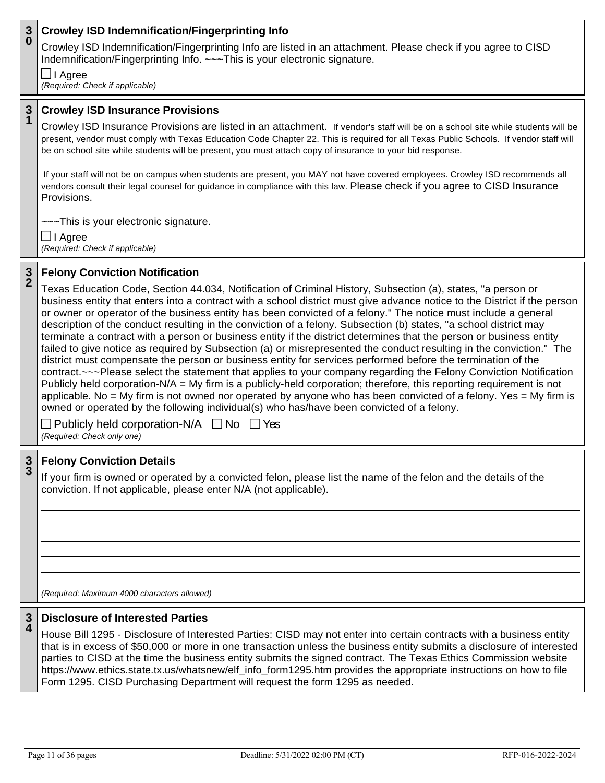### **3 0 Crowley ISD Indemnification/Fingerprinting Info**

Crowley ISD Indemnification/Fingerprinting Info are listed in an attachment. Please check if you agree to CISD Indemnification/Fingerprinting Info. ~~~This is your electronic signature.

**□** I Agree

*(Required: Check if applicable)*

### **3 1 Crowley ISD Insurance Provisions**

Crowley ISD Insurance Provisions are listed in an attachment. If vendor's staff will be on a school site while students will be present, vendor must comply with Texas Education Code Chapter 22. This is required for all Texas Public Schools. If vendor staff will be on school site while students will be present, you must attach copy of insurance to your bid response.

If your staff will not be on campus when students are present, you MAY not have covered employees. Crowley ISD recommends all vendors consult their legal counsel for guidance in compliance with this law. Please check if you agree to CISD Insurance Provisions.

~~~This is your electronic signature.

I Agree *(Required: Check if applicable)*

### **3 2 Felony Conviction Notification**

Texas Education Code, Section 44.034, Notification of Criminal History, Subsection (a), states, "a person or business entity that enters into a contract with a school district must give advance notice to the District if the person or owner or operator of the business entity has been convicted of a felony." The notice must include a general description of the conduct resulting in the conviction of a felony. Subsection (b) states, "a school district may terminate a contract with a person or business entity if the district determines that the person or business entity failed to give notice as required by Subsection (a) or misrepresented the conduct resulting in the conviction." The district must compensate the person or business entity for services performed before the termination of the contract.~~~Please select the statement that applies to your company regarding the Felony Conviction Notification Publicly held corporation-N/A = My firm is a publicly-held corporation; therefore, this reporting requirement is not applicable. No = My firm is not owned nor operated by anyone who has been convicted of a felony. Yes = My firm is owned or operated by the following individual(s) who has/have been convicted of a felony.

 $\Box$  Publicly held corporation-N/A  $\Box$  No  $\Box$  Yes *(Required: Check only one)*

### **3 3 Felony Conviction Details**

If your firm is owned or operated by a convicted felon, please list the name of the felon and the details of the conviction. If not applicable, please enter N/A (not applicable).

*(Required: Maximum 4000 characters allowed)*

#### **3 4 Disclosure of Interested Parties**

House Bill 1295 - Disclosure of Interested Parties: CISD may not enter into certain contracts with a business entity that is in excess of \$50,000 or more in one transaction unless the business entity submits a disclosure of interested parties to CISD at the time the business entity submits the signed contract. The Texas Ethics Commission website https://www.ethics.state.tx.us/whatsnew/elf\_info\_form1295.htm provides the appropriate instructions on how to file Form 1295. CISD Purchasing Department will request the form 1295 as needed.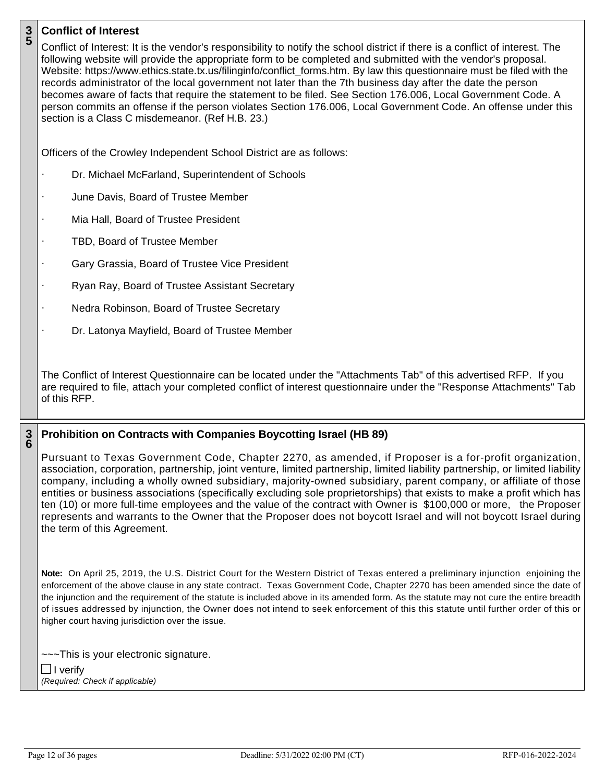## **3 5 Conflict of Interest**

| ა      | Conflict of Interest: It is the vendor's responsibility to notify the school district if there is a conflict of interest. The<br>following website will provide the appropriate form to be completed and submitted with the vendor's proposal.<br>Website: https://www.ethics.state.tx.us/filinginfo/conflict_forms.htm. By law this questionnaire must be filed with the<br>records administrator of the local government not later than the 7th business day after the date the person<br>becomes aware of facts that require the statement to be filed. See Section 176.006, Local Government Code. A<br>person commits an offense if the person violates Section 176.006, Local Government Code. An offense under this<br>section is a Class C misdemeanor. (Ref H.B. 23.) |
|--------|--------------------------------------------------------------------------------------------------------------------------------------------------------------------------------------------------------------------------------------------------------------------------------------------------------------------------------------------------------------------------------------------------------------------------------------------------------------------------------------------------------------------------------------------------------------------------------------------------------------------------------------------------------------------------------------------------------------------------------------------------------------------------------|
|        | Officers of the Crowley Independent School District are as follows:                                                                                                                                                                                                                                                                                                                                                                                                                                                                                                                                                                                                                                                                                                            |
|        | Dr. Michael McFarland, Superintendent of Schools                                                                                                                                                                                                                                                                                                                                                                                                                                                                                                                                                                                                                                                                                                                               |
|        | June Davis, Board of Trustee Member                                                                                                                                                                                                                                                                                                                                                                                                                                                                                                                                                                                                                                                                                                                                            |
|        | Mia Hall, Board of Trustee President                                                                                                                                                                                                                                                                                                                                                                                                                                                                                                                                                                                                                                                                                                                                           |
|        | TBD, Board of Trustee Member                                                                                                                                                                                                                                                                                                                                                                                                                                                                                                                                                                                                                                                                                                                                                   |
|        | Gary Grassia, Board of Trustee Vice President                                                                                                                                                                                                                                                                                                                                                                                                                                                                                                                                                                                                                                                                                                                                  |
|        | Ryan Ray, Board of Trustee Assistant Secretary<br>$\cdot$                                                                                                                                                                                                                                                                                                                                                                                                                                                                                                                                                                                                                                                                                                                      |
|        | Nedra Robinson, Board of Trustee Secretary<br>$\cdot$                                                                                                                                                                                                                                                                                                                                                                                                                                                                                                                                                                                                                                                                                                                          |
|        | Dr. Latonya Mayfield, Board of Trustee Member                                                                                                                                                                                                                                                                                                                                                                                                                                                                                                                                                                                                                                                                                                                                  |
|        | The Conflict of Interest Questionnaire can be located under the "Attachments Tab" of this advertised RFP. If you<br>are required to file, attach your completed conflict of interest questionnaire under the "Response Attachments" Tab<br>of this RFP.                                                                                                                                                                                                                                                                                                                                                                                                                                                                                                                        |
| 3<br>6 | Prohibition on Contracts with Companies Boycotting Israel (HB 89)                                                                                                                                                                                                                                                                                                                                                                                                                                                                                                                                                                                                                                                                                                              |
|        | Pursuant to Texas Government Code, Chapter 2270, as amended, if Proposer is a for-profit organization,<br>association, corporation, partnership, joint venture, limited partnership, limited liability partnership, or limited liability<br>company, including a wholly owned subsidiary, majority-owned subsidiary, parent company, or affiliate of those<br>entities or business associations (specifically excluding sole proprietorships) that exists to make a profit which has<br>ten (10) or more full-time employees and the value of the contract with Owner is \$100,000 or more, the Proposer<br>represents and warrants to the Owner that the Proposer does not boycott Israel and will not boycott Israel during<br>the term of this Agreement.                   |
|        | Note: On April 25, 2019, the U.S. District Court for the Western District of Texas entered a preliminary injunction enjoining the<br>enforcement of the above clause in any state contract. Texas Government Code, Chapter 2270 has been amended since the date of<br>the injunction and the requirement of the statute is included above in its amended form. As the statute may not cure the entire breadth<br>of issues addressed by injunction, the Owner does not intend to seek enforcement of this this statute until further order of this or<br>higher court having jurisdiction over the issue.                                                                                                                                                                      |
|        | ---This is your electronic signature.<br>$\Box$ I verify                                                                                                                                                                                                                                                                                                                                                                                                                                                                                                                                                                                                                                                                                                                       |

*(Required: Check if applicable)*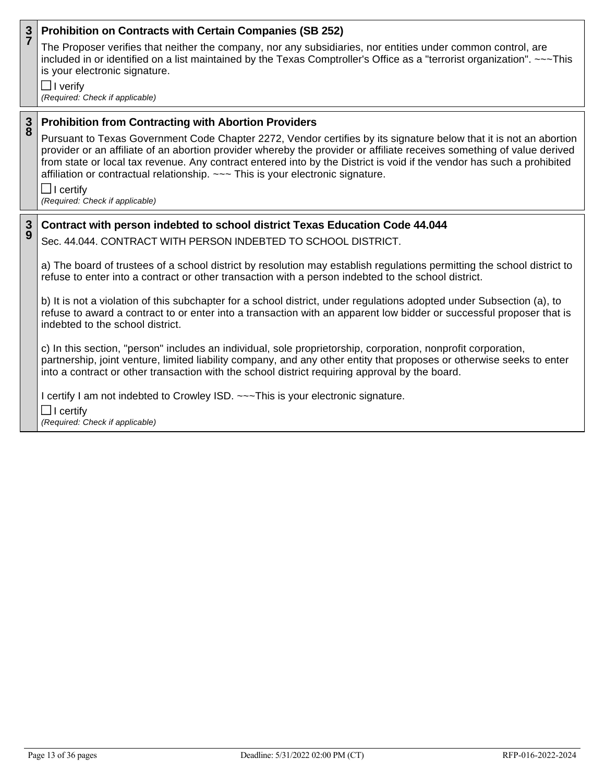### **3 7 Prohibition on Contracts with Certain Companies (SB 252)**

The Proposer verifies that neither the company, nor any subsidiaries, nor entities under common control, are included in or identified on a list maintained by the Texas Comptroller's Office as a "terrorist organization". ~~~This is your electronic signature.

 $\Box$  I verify *(Required: Check if applicable)*

### **3 8 Prohibition from Contracting with Abortion Providers**

Pursuant to Texas Government Code Chapter 2272, Vendor certifies by its signature below that it is not an abortion provider or an affiliate of an abortion provider whereby the provider or affiliate receives something of value derived from state or local tax revenue. Any contract entered into by the District is void if the vendor has such a prohibited affiliation or contractual relationship. ~~~ This is your electronic signature.

 $\Box$  I certify *(Required: Check if applicable)*

### **3 9 Contract with person indebted to school district Texas Education Code 44.044**

Sec. 44.044. CONTRACT WITH PERSON INDEBTED TO SCHOOL DISTRICT.

a) The board of trustees of a school district by resolution may establish regulations permitting the school district to refuse to enter into a contract or other transaction with a person indebted to the school district.

b) It is not a violation of this subchapter for a school district, under regulations adopted under Subsection (a), to refuse to award a contract to or enter into a transaction with an apparent low bidder or successful proposer that is indebted to the school district.

c) In this section, "person" includes an individual, sole proprietorship, corporation, nonprofit corporation, partnership, joint venture, limited liability company, and any other entity that proposes or otherwise seeks to enter into a contract or other transaction with the school district requiring approval by the board.

I certify I am not indebted to Crowley ISD. ~~~This is your electronic signature.

 $\Box$  I certify

*(Required: Check if applicable)*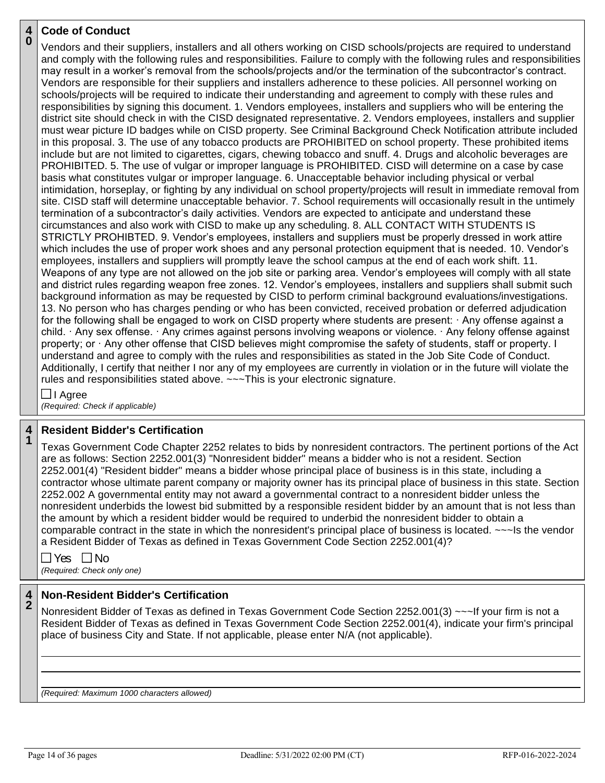### **4 0 Code of Conduct**

Vendors and their suppliers, installers and all others working on CISD schools/projects are required to understand and comply with the following rules and responsibilities. Failure to comply with the following rules and responsibilities may result in a worker's removal from the schools/projects and/or the termination of the subcontractor's contract. Vendors are responsible for their suppliers and installers adherence to these policies. All personnel working on schools/projects will be required to indicate their understanding and agreement to comply with these rules and responsibilities by signing this document. 1. Vendors employees, installers and suppliers who will be entering the district site should check in with the CISD designated representative. 2. Vendors employees, installers and supplier must wear picture ID badges while on CISD property. See Criminal Background Check Notification attribute included in this proposal. 3. The use of any tobacco products are PROHIBITED on school property. These prohibited items include but are not limited to cigarettes, cigars, chewing tobacco and snuff. 4. Drugs and alcoholic beverages are PROHIBITED. 5. The use of vulgar or improper language is PROHIBITED. CISD will determine on a case by case basis what constitutes vulgar or improper language. 6. Unacceptable behavior including physical or verbal intimidation, horseplay, or fighting by any individual on school property/projects will result in immediate removal from site. CISD staff will determine unacceptable behavior. 7. School requirements will occasionally result in the untimely termination of a subcontractor's daily activities. Vendors are expected to anticipate and understand these circumstances and also work with CISD to make up any scheduling. 8. ALL CONTACT WITH STUDENTS IS STRICTLY PROHIBTED. 9. Vendor's employees, installers and suppliers must be properly dressed in work attire which includes the use of proper work shoes and any personal protection equipment that is needed. 10. Vendor's employees, installers and suppliers will promptly leave the school campus at the end of each work shift. 11. Weapons of any type are not allowed on the job site or parking area. Vendor's employees will comply with all state and district rules regarding weapon free zones. 12. Vendor's employees, installers and suppliers shall submit such background information as may be requested by CISD to perform criminal background evaluations/investigations. 13. No person who has charges pending or who has been convicted, received probation or deferred adjudication for the following shall be engaged to work on CISD property where students are present:  $\cdot$  Any offense against a child.  $\cdot$  Any sex offense.  $\cdot$  Any crimes against persons involving weapons or violence.  $\cdot$  Any felony offense against property; or  $\cdot$  Any other offense that CISD believes might compromise the safety of students, staff or property. I understand and agree to comply with the rules and responsibilities as stated in the Job Site Code of Conduct. Additionally, I certify that neither I nor any of my employees are currently in violation or in the future will violate the rules and responsibilities stated above. ~~~This is your electronic signature.

**□** I Agree *(Required: Check if applicable)*

### **4 1 Resident Bidder's Certification**

Texas Government Code Chapter 2252 relates to bids by nonresident contractors. The pertinent portions of the Act are as follows: Section 2252.001(3) "Nonresident bidder" means a bidder who is not a resident. Section 2252.001(4) "Resident bidder" means a bidder whose principal place of business is in this state, including a contractor whose ultimate parent company or majority owner has its principal place of business in this state. Section 2252.002 A governmental entity may not award a governmental contract to a nonresident bidder unless the nonresident underbids the lowest bid submitted by a responsible resident bidder by an amount that is not less than the amount by which a resident bidder would be required to underbid the nonresident bidder to obtain a comparable contract in the state in which the nonresident's principal place of business is located. ~~~Is the vendor a Resident Bidder of Texas as defined in Texas Government Code Section 2252.001(4)?

 $\Box$  Yes  $\Box$  No

*(Required: Check only one)*

### **4 2 Non-Resident Bidder's Certification**

Nonresident Bidder of Texas as defined in Texas Government Code Section 2252.001(3) ~~~If your firm is not a Resident Bidder of Texas as defined in Texas Government Code Section 2252.001(4), indicate your firm's principal place of business City and State. If not applicable, please enter N/A (not applicable).

*(Required: Maximum 1000 characters allowed)*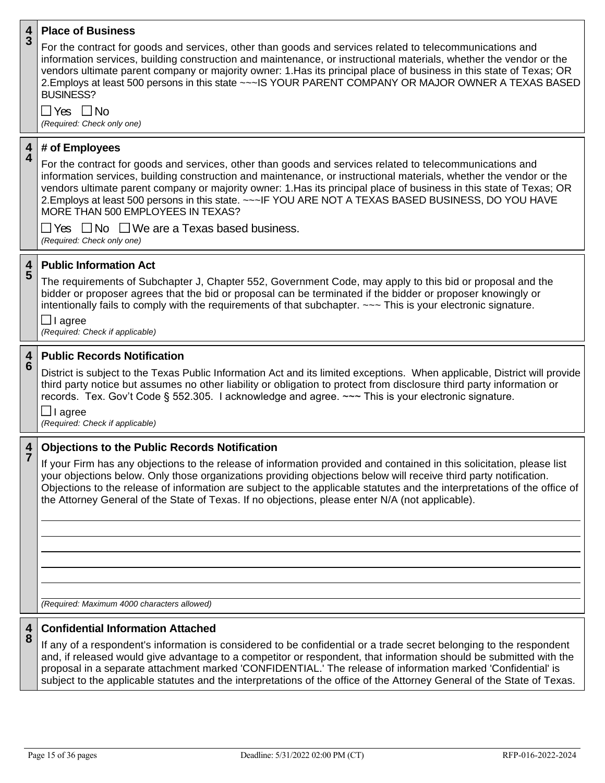| For the contract for goods and services, other than goods and services related to telecommunications and<br><b>BUSINESS?</b><br>□ Yes □ No<br>(Required: Check only one)<br>4<br># of Employees<br>$\overline{\mathbf{4}}$<br>For the contract for goods and services, other than goods and services related to telecommunications and<br>2. Employs at least 500 persons in this state. ~~~ IF YOU ARE NOT A TEXAS BASED BUSINESS, DO YOU HAVE<br>MORE THAN 500 EMPLOYEES IN TEXAS?<br>$\Box$ Yes $\Box$ No $\Box$ We are a Texas based business.<br>(Required: Check only one)<br>4<br><b>Public Information Act</b><br>5<br>The requirements of Subchapter J, Chapter 552, Government Code, may apply to this bid or proposal and the<br>bidder or proposer agrees that the bid or proposal can be terminated if the bidder or proposer knowingly or<br>intentionally fails to comply with the requirements of that subchapter. $\sim\sim\sim$ This is your electronic signature.<br>$\Box$ I agree<br>(Required: Check if applicable)<br><b>Public Records Notification</b><br>4<br>$\ddot{6}$<br>third party notice but assumes no other liability or obligation to protect from disclosure third party information or<br>records. Tex. Gov't Code § 552.305. I acknowledge and agree. ~~~ This is your electronic signature.<br>$\Box$ I agree<br>(Required: Check if applicable)<br><b>Objections to the Public Records Notification</b><br>4<br>your objections below. Only those organizations providing objections below will receive third party notification.<br>the Attorney General of the State of Texas. If no objections, please enter N/A (not applicable). | $\frac{4}{3}$ | <b>Place of Business</b>                                                                                                                                                                                                                                                                                                                            |
|-------------------------------------------------------------------------------------------------------------------------------------------------------------------------------------------------------------------------------------------------------------------------------------------------------------------------------------------------------------------------------------------------------------------------------------------------------------------------------------------------------------------------------------------------------------------------------------------------------------------------------------------------------------------------------------------------------------------------------------------------------------------------------------------------------------------------------------------------------------------------------------------------------------------------------------------------------------------------------------------------------------------------------------------------------------------------------------------------------------------------------------------------------------------------------------------------------------------------------------------------------------------------------------------------------------------------------------------------------------------------------------------------------------------------------------------------------------------------------------------------------------------------------------------------------------------------------------------------------------------------------------------------------------------------------|---------------|-----------------------------------------------------------------------------------------------------------------------------------------------------------------------------------------------------------------------------------------------------------------------------------------------------------------------------------------------------|
|                                                                                                                                                                                                                                                                                                                                                                                                                                                                                                                                                                                                                                                                                                                                                                                                                                                                                                                                                                                                                                                                                                                                                                                                                                                                                                                                                                                                                                                                                                                                                                                                                                                                               |               | information services, building construction and maintenance, or instructional materials, whether the vendor or the<br>vendors ultimate parent company or majority owner: 1. Has its principal place of business in this state of Texas; OR<br>2. Employs at least 500 persons in this state ~~~ IS YOUR PARENT COMPANY OR MAJOR OWNER A TEXAS BASED |
|                                                                                                                                                                                                                                                                                                                                                                                                                                                                                                                                                                                                                                                                                                                                                                                                                                                                                                                                                                                                                                                                                                                                                                                                                                                                                                                                                                                                                                                                                                                                                                                                                                                                               |               |                                                                                                                                                                                                                                                                                                                                                     |
|                                                                                                                                                                                                                                                                                                                                                                                                                                                                                                                                                                                                                                                                                                                                                                                                                                                                                                                                                                                                                                                                                                                                                                                                                                                                                                                                                                                                                                                                                                                                                                                                                                                                               |               |                                                                                                                                                                                                                                                                                                                                                     |
|                                                                                                                                                                                                                                                                                                                                                                                                                                                                                                                                                                                                                                                                                                                                                                                                                                                                                                                                                                                                                                                                                                                                                                                                                                                                                                                                                                                                                                                                                                                                                                                                                                                                               |               | information services, building construction and maintenance, or instructional materials, whether the vendor or the<br>vendors ultimate parent company or majority owner: 1. Has its principal place of business in this state of Texas; OR                                                                                                          |
|                                                                                                                                                                                                                                                                                                                                                                                                                                                                                                                                                                                                                                                                                                                                                                                                                                                                                                                                                                                                                                                                                                                                                                                                                                                                                                                                                                                                                                                                                                                                                                                                                                                                               |               |                                                                                                                                                                                                                                                                                                                                                     |
|                                                                                                                                                                                                                                                                                                                                                                                                                                                                                                                                                                                                                                                                                                                                                                                                                                                                                                                                                                                                                                                                                                                                                                                                                                                                                                                                                                                                                                                                                                                                                                                                                                                                               |               |                                                                                                                                                                                                                                                                                                                                                     |
|                                                                                                                                                                                                                                                                                                                                                                                                                                                                                                                                                                                                                                                                                                                                                                                                                                                                                                                                                                                                                                                                                                                                                                                                                                                                                                                                                                                                                                                                                                                                                                                                                                                                               |               |                                                                                                                                                                                                                                                                                                                                                     |
|                                                                                                                                                                                                                                                                                                                                                                                                                                                                                                                                                                                                                                                                                                                                                                                                                                                                                                                                                                                                                                                                                                                                                                                                                                                                                                                                                                                                                                                                                                                                                                                                                                                                               |               |                                                                                                                                                                                                                                                                                                                                                     |
|                                                                                                                                                                                                                                                                                                                                                                                                                                                                                                                                                                                                                                                                                                                                                                                                                                                                                                                                                                                                                                                                                                                                                                                                                                                                                                                                                                                                                                                                                                                                                                                                                                                                               |               | District is subject to the Texas Public Information Act and its limited exceptions. When applicable, District will provide                                                                                                                                                                                                                          |
|                                                                                                                                                                                                                                                                                                                                                                                                                                                                                                                                                                                                                                                                                                                                                                                                                                                                                                                                                                                                                                                                                                                                                                                                                                                                                                                                                                                                                                                                                                                                                                                                                                                                               |               |                                                                                                                                                                                                                                                                                                                                                     |
|                                                                                                                                                                                                                                                                                                                                                                                                                                                                                                                                                                                                                                                                                                                                                                                                                                                                                                                                                                                                                                                                                                                                                                                                                                                                                                                                                                                                                                                                                                                                                                                                                                                                               |               | If your Firm has any objections to the release of information provided and contained in this solicitation, please list<br>Objections to the release of information are subject to the applicable statutes and the interpretations of the office of                                                                                                  |
|                                                                                                                                                                                                                                                                                                                                                                                                                                                                                                                                                                                                                                                                                                                                                                                                                                                                                                                                                                                                                                                                                                                                                                                                                                                                                                                                                                                                                                                                                                                                                                                                                                                                               |               |                                                                                                                                                                                                                                                                                                                                                     |
|                                                                                                                                                                                                                                                                                                                                                                                                                                                                                                                                                                                                                                                                                                                                                                                                                                                                                                                                                                                                                                                                                                                                                                                                                                                                                                                                                                                                                                                                                                                                                                                                                                                                               |               |                                                                                                                                                                                                                                                                                                                                                     |
|                                                                                                                                                                                                                                                                                                                                                                                                                                                                                                                                                                                                                                                                                                                                                                                                                                                                                                                                                                                                                                                                                                                                                                                                                                                                                                                                                                                                                                                                                                                                                                                                                                                                               |               |                                                                                                                                                                                                                                                                                                                                                     |
| (Required: Maximum 4000 characters allowed)                                                                                                                                                                                                                                                                                                                                                                                                                                                                                                                                                                                                                                                                                                                                                                                                                                                                                                                                                                                                                                                                                                                                                                                                                                                                                                                                                                                                                                                                                                                                                                                                                                   |               |                                                                                                                                                                                                                                                                                                                                                     |

### **4 8 Confidential Information Attached**

If any of a respondent's information is considered to be confidential or a trade secret belonging to the respondent and, if released would give advantage to a competitor or respondent, that information should be submitted with the proposal in a separate attachment marked 'CONFIDENTIAL.' The release of information marked 'Confidential' is subject to the applicable statutes and the interpretations of the office of the Attorney General of the State of Texas.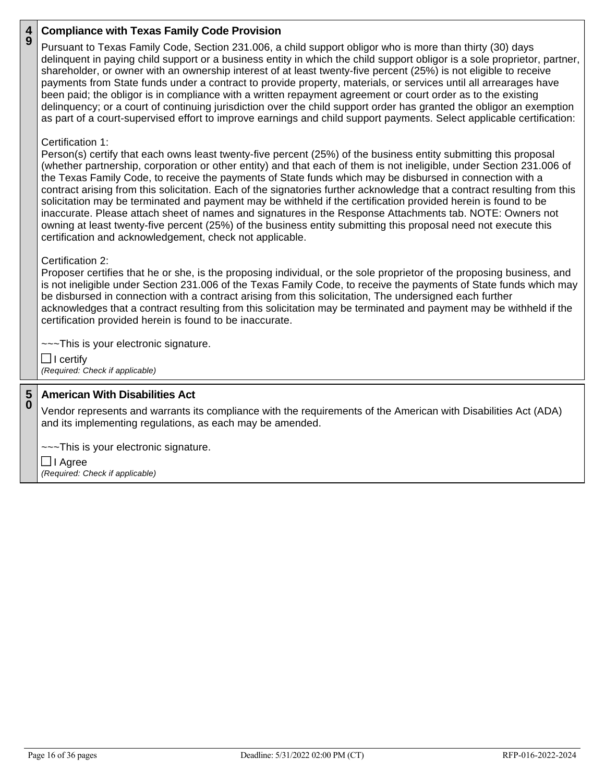### **4 9 Compliance with Texas Family Code Provision**

Pursuant to Texas Family Code, Section 231.006, a child support obligor who is more than thirty (30) days delinquent in paying child support or a business entity in which the child support obligor is a sole proprietor, partner, shareholder, or owner with an ownership interest of at least twenty-five percent (25%) is not eligible to receive payments from State funds under a contract to provide property, materials, or services until all arrearages have been paid; the obligor is in compliance with a written repayment agreement or court order as to the existing delinquency; or a court of continuing jurisdiction over the child support order has granted the obligor an exemption as part of a court-supervised effort to improve earnings and child support payments. Select applicable certification:

# Certification 1:

Person(s) certify that each owns least twenty-five percent (25%) of the business entity submitting this proposal (whether partnership, corporation or other entity) and that each of them is not ineligible, under Section 231.006 of the Texas Family Code, to receive the payments of State funds which may be disbursed in connection with a contract arising from this solicitation. Each of the signatories further acknowledge that a contract resulting from this solicitation may be terminated and payment may be withheld if the certification provided herein is found to be inaccurate. Please attach sheet of names and signatures in the Response Attachments tab. NOTE: Owners not owning at least twenty-five percent (25%) of the business entity submitting this proposal need not execute this certification and acknowledgement, check not applicable.

# Certification 2:

Proposer certifies that he or she, is the proposing individual, or the sole proprietor of the proposing business, and is not ineligible under Section 231.006 of the Texas Family Code, to receive the payments of State funds which may be disbursed in connection with a contract arising from this solicitation, The undersigned each further acknowledges that a contract resulting from this solicitation may be terminated and payment may be withheld if the certification provided herein is found to be inaccurate.

~~~This is your electronic signature.

 $\Box$  I certify *(Required: Check if applicable)*

### **5 0 American With Disabilities Act**

Vendor represents and warrants its compliance with the requirements of the American with Disabilities Act (ADA) and its implementing regulations, as each may be amended.

~~~This is your electronic signature.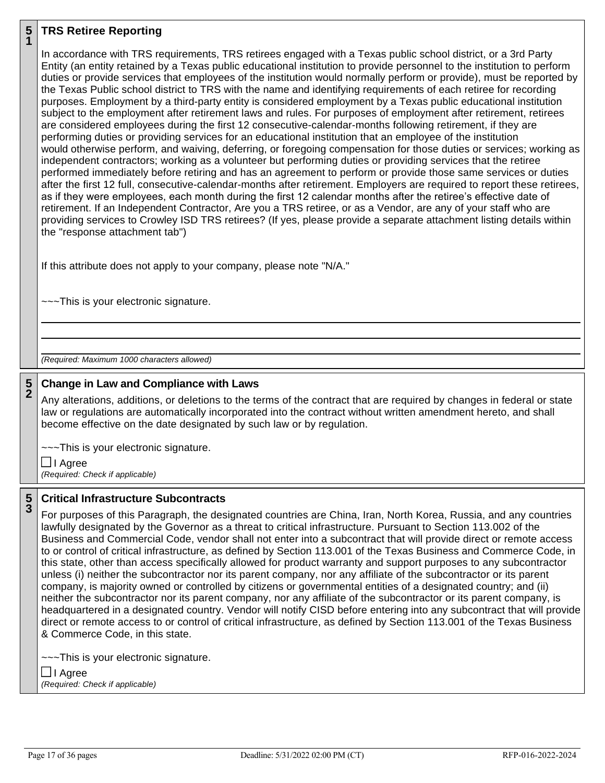### **5 1 TRS Retiree Reporting**

In accordance with TRS requirements, TRS retirees engaged with a Texas public school district, or a 3rd Party Entity (an entity retained by a Texas public educational institution to provide personnel to the institution to perform duties or provide services that employees of the institution would normally perform or provide), must be reported by the Texas Public school district to TRS with the name and identifying requirements of each retiree for recording purposes. Employment by a third-party entity is considered employment by a Texas public educational institution subject to the employment after retirement laws and rules. For purposes of employment after retirement, retirees are considered employees during the first 12 consecutive-calendar-months following retirement, if they are performing duties or providing services for an educational institution that an employee of the institution would otherwise perform, and waiving, deferring, or foregoing compensation for those duties or services; working as independent contractors; working as a volunteer but performing duties or providing services that the retiree performed immediately before retiring and has an agreement to perform or provide those same services or duties after the first 12 full, consecutive-calendar-months after retirement. Employers are required to report these retirees, as if they were employees, each month during the first 12 calendar months after the retiree's effective date of retirement. If an Independent Contractor, Are you a TRS retiree, or as a Vendor, are any of your staff who are providing services to Crowley ISD TRS retirees? (If yes, please provide a separate attachment listing details within the "response attachment tab")

If this attribute does not apply to your company, please note "N/A."

~~~This is your electronic signature.

*(Required: Maximum 1000 characters allowed)*

### **5 2 Change in Law and Compliance with Laws**

Any alterations, additions, or deletions to the terms of the contract that are required by changes in federal or state law or regulations are automatically incorporated into the contract without written amendment hereto, and shall become effective on the date designated by such law or by regulation.

~~~This is your electronic signature.

**□** I Agree *(Required: Check if applicable)*

### **5 3 Critical Infrastructure Subcontracts**

For purposes of this Paragraph, the designated countries are China, Iran, North Korea, Russia, and any countries lawfully designated by the Governor as a threat to critical infrastructure. Pursuant to Section 113.002 of the Business and Commercial Code, vendor shall not enter into a subcontract that will provide direct or remote access to or control of critical infrastructure, as defined by Section 113.001 of the Texas Business and Commerce Code, in this state, other than access specifically allowed for product warranty and support purposes to any subcontractor unless (i) neither the subcontractor nor its parent company, nor any affiliate of the subcontractor or its parent company, is majority owned or controlled by citizens or governmental entities of a designated country; and (ii) neither the subcontractor nor its parent company, nor any affiliate of the subcontractor or its parent company, is headquartered in a designated country. Vendor will notify CISD before entering into any subcontract that will provide direct or remote access to or control of critical infrastructure, as defined by Section 113.001 of the Texas Business & Commerce Code, in this state.

~~~This is your electronic signature.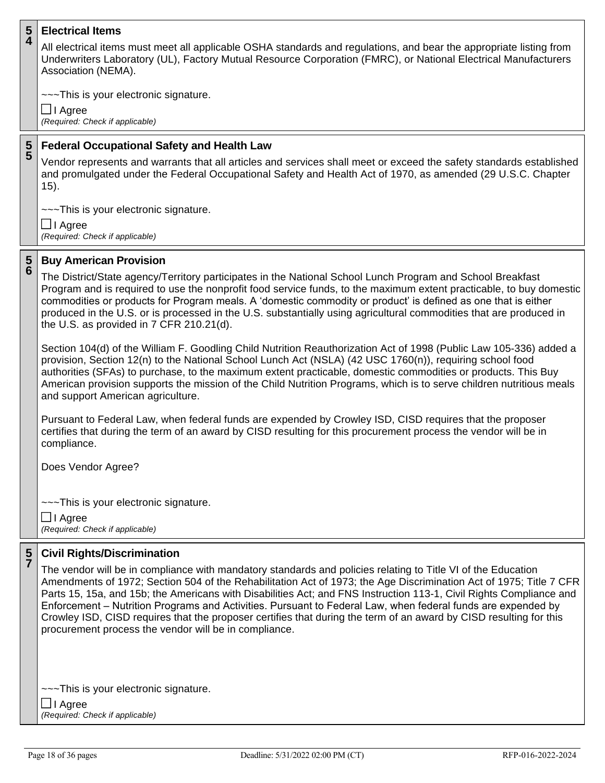### **5 4 Electrical Items**

All electrical items must meet all applicable OSHA standards and regulations, and bear the appropriate listing from Underwriters Laboratory (UL), Factory Mutual Resource Corporation (FMRC), or National Electrical Manufacturers Association (NEMA).

~~~This is your electronic signature.

I Agree *(Required: Check if applicable)*

### **5 5 Federal Occupational Safety and Health Law**

Vendor represents and warrants that all articles and services shall meet or exceed the safety standards established and promulgated under the Federal Occupational Safety and Health Act of 1970, as amended (29 U.S.C. Chapter 15).

~~~This is your electronic signature.

**□** I Agree *(Required: Check if applicable)*

#### **5 6 Buy American Provision**

The District/State agency/Territory participates in the National School Lunch Program and School Breakfast Program and is required to use the nonprofit food service funds, to the maximum extent practicable, to buy domestic commodities or products for Program meals. A 'domestic commodity or product' is defined as one that is either produced in the U.S. or is processed in the U.S. substantially using agricultural commodities that are produced in the U.S. as provided in 7 CFR 210.21(d).

Section 104(d) of the William F. Goodling Child Nutrition Reauthorization Act of 1998 (Public Law 105-336) added a provision, Section 12(n) to the National School Lunch Act (NSLA) (42 USC 1760(n)), requiring school food authorities (SFAs) to purchase, to the maximum extent practicable, domestic commodities or products. This Buy American provision supports the mission of the Child Nutrition Programs, which is to serve children nutritious meals and support American agriculture.

Pursuant to Federal Law, when federal funds are expended by Crowley ISD, CISD requires that the proposer certifies that during the term of an award by CISD resulting for this procurement process the vendor will be in compliance.

Does Vendor Agree?

~~~This is your electronic signature.

I Agree *(Required: Check if applicable)*

### **5 7 Civil Rights/Discrimination**

The vendor will be in compliance with mandatory standards and policies relating to Title VI of the Education Amendments of 1972; Section 504 of the Rehabilitation Act of 1973; the Age Discrimination Act of 1975; Title 7 CFR Parts 15, 15a, and 15b; the Americans with Disabilities Act; and FNS Instruction 113-1, Civil Rights Compliance and Enforcement – Nutrition Programs and Activities. Pursuant to Federal Law, when federal funds are expended by Crowley ISD, CISD requires that the proposer certifies that during the term of an award by CISD resulting for this procurement process the vendor will be in compliance.

~~~This is your electronic signature.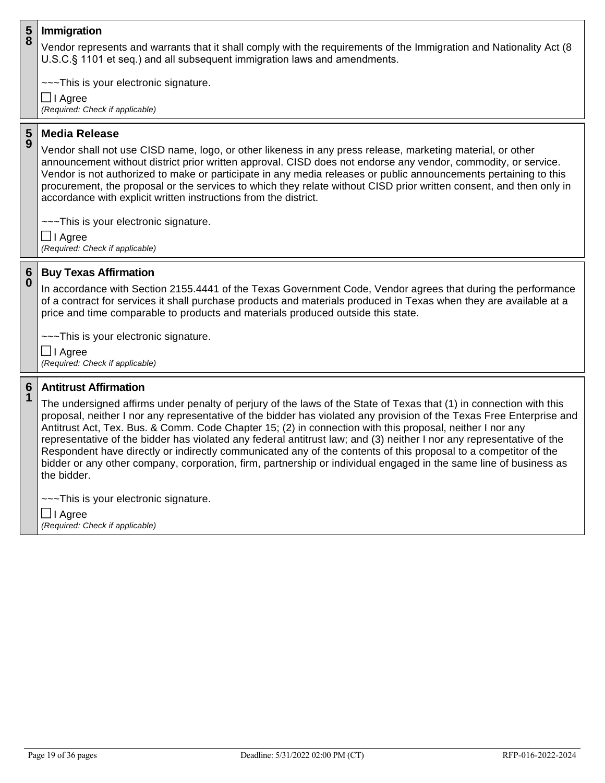#### **5 8 Immigration**

Vendor represents and warrants that it shall comply with the requirements of the Immigration and Nationality Act (8 U.S.C.§ 1101 et seq.) and all subsequent immigration laws and amendments.

~~~This is your electronic signature.

I Agree *(Required: Check if applicable)*

#### **5 9 Media Release**

Vendor shall not use CISD name, logo, or other likeness in any press release, marketing material, or other announcement without district prior written approval. CISD does not endorse any vendor, commodity, or service. Vendor is not authorized to make or participate in any media releases or public announcements pertaining to this procurement, the proposal or the services to which they relate without CISD prior written consent, and then only in accordance with explicit written instructions from the district.

~~~This is your electronic signature.

I Agree *(Required: Check if applicable)*

### **6 0 Buy Texas Affirmation**

In accordance with Section 2155.4441 of the Texas Government Code, Vendor agrees that during the performance of a contract for services it shall purchase products and materials produced in Texas when they are available at a price and time comparable to products and materials produced outside this state.

~~~This is your electronic signature.

I Agree *(Required: Check if applicable)*

#### **6 1 Antitrust Affirmation**

The undersigned affirms under penalty of perjury of the laws of the State of Texas that (1) in connection with this proposal, neither I nor any representative of the bidder has violated any provision of the Texas Free Enterprise and Antitrust Act, Tex. Bus. & Comm. Code Chapter 15; (2) in connection with this proposal, neither I nor any representative of the bidder has violated any federal antitrust law; and (3) neither I nor any representative of the Respondent have directly or indirectly communicated any of the contents of this proposal to a competitor of the bidder or any other company, corporation, firm, partnership or individual engaged in the same line of business as the bidder.

~~~This is your electronic signature.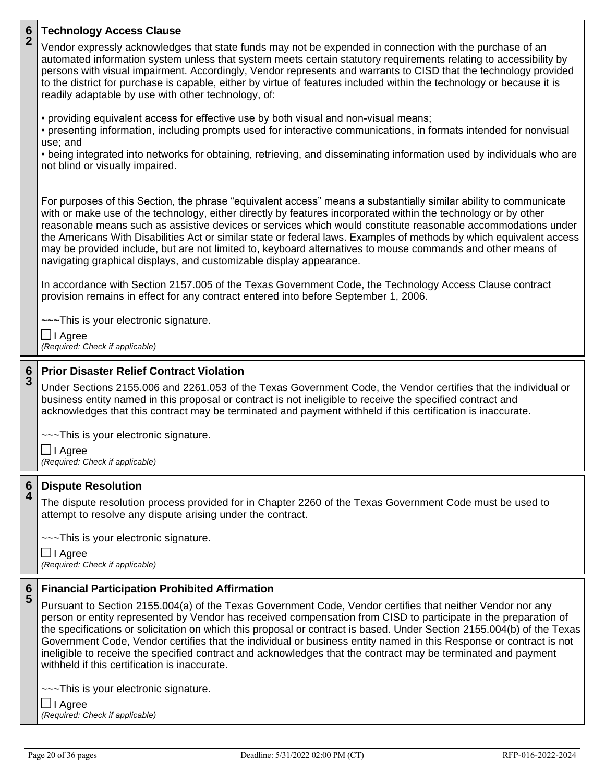| $\frac{6}{2}$ | <b>Technology Access Clause</b>                                                                                                                                                                                                                                                                                                                                                                                                                                                                                                                                                                                                                                                                          |  |
|---------------|----------------------------------------------------------------------------------------------------------------------------------------------------------------------------------------------------------------------------------------------------------------------------------------------------------------------------------------------------------------------------------------------------------------------------------------------------------------------------------------------------------------------------------------------------------------------------------------------------------------------------------------------------------------------------------------------------------|--|
|               | Vendor expressly acknowledges that state funds may not be expended in connection with the purchase of an<br>automated information system unless that system meets certain statutory requirements relating to accessibility by<br>persons with visual impairment. Accordingly, Vendor represents and warrants to CISD that the technology provided<br>to the district for purchase is capable, either by virtue of features included within the technology or because it is<br>readily adaptable by use with other technology, of:                                                                                                                                                                        |  |
|               | • providing equivalent access for effective use by both visual and non-visual means;<br>• presenting information, including prompts used for interactive communications, in formats intended for nonvisual<br>use; and<br>• being integrated into networks for obtaining, retrieving, and disseminating information used by individuals who are<br>not blind or visually impaired.                                                                                                                                                                                                                                                                                                                       |  |
|               | For purposes of this Section, the phrase "equivalent access" means a substantially similar ability to communicate<br>with or make use of the technology, either directly by features incorporated within the technology or by other<br>reasonable means such as assistive devices or services which would constitute reasonable accommodations under<br>the Americans With Disabilities Act or similar state or federal laws. Examples of methods by which equivalent access<br>may be provided include, but are not limited to, keyboard alternatives to mouse commands and other means of<br>navigating graphical displays, and customizable display appearance.                                       |  |
|               | In accordance with Section 2157.005 of the Texas Government Code, the Technology Access Clause contract<br>provision remains in effect for any contract entered into before September 1, 2006.                                                                                                                                                                                                                                                                                                                                                                                                                                                                                                           |  |
|               | ---This is your electronic signature.<br>$\Box$ I Agree<br>(Required: Check if applicable)                                                                                                                                                                                                                                                                                                                                                                                                                                                                                                                                                                                                               |  |
|               |                                                                                                                                                                                                                                                                                                                                                                                                                                                                                                                                                                                                                                                                                                          |  |
|               |                                                                                                                                                                                                                                                                                                                                                                                                                                                                                                                                                                                                                                                                                                          |  |
| $\frac{6}{3}$ | <b>Prior Disaster Relief Contract Violation</b><br>Under Sections 2155.006 and 2261.053 of the Texas Government Code, the Vendor certifies that the individual or<br>business entity named in this proposal or contract is not ineligible to receive the specified contract and<br>acknowledges that this contract may be terminated and payment withheld if this certification is inaccurate.                                                                                                                                                                                                                                                                                                           |  |
|               | ---This is your electronic signature.                                                                                                                                                                                                                                                                                                                                                                                                                                                                                                                                                                                                                                                                    |  |
|               | $\Box$ I Agree<br>(Required: Check if applicable)                                                                                                                                                                                                                                                                                                                                                                                                                                                                                                                                                                                                                                                        |  |
|               | <b>Dispute Resolution</b>                                                                                                                                                                                                                                                                                                                                                                                                                                                                                                                                                                                                                                                                                |  |
| 6<br>4        | The dispute resolution process provided for in Chapter 2260 of the Texas Government Code must be used to<br>attempt to resolve any dispute arising under the contract.                                                                                                                                                                                                                                                                                                                                                                                                                                                                                                                                   |  |
|               | ---This is your electronic signature.<br><b>]I Agree</b><br>(Required: Check if applicable)                                                                                                                                                                                                                                                                                                                                                                                                                                                                                                                                                                                                              |  |
|               |                                                                                                                                                                                                                                                                                                                                                                                                                                                                                                                                                                                                                                                                                                          |  |
| $rac{6}{5}$   | <b>Financial Participation Prohibited Affirmation</b><br>Pursuant to Section 2155.004(a) of the Texas Government Code, Vendor certifies that neither Vendor nor any<br>person or entity represented by Vendor has received compensation from CISD to participate in the preparation of<br>the specifications or solicitation on which this proposal or contract is based. Under Section 2155.004(b) of the Texas<br>Government Code, Vendor certifies that the individual or business entity named in this Response or contract is not<br>ineligible to receive the specified contract and acknowledges that the contract may be terminated and payment<br>withheld if this certification is inaccurate. |  |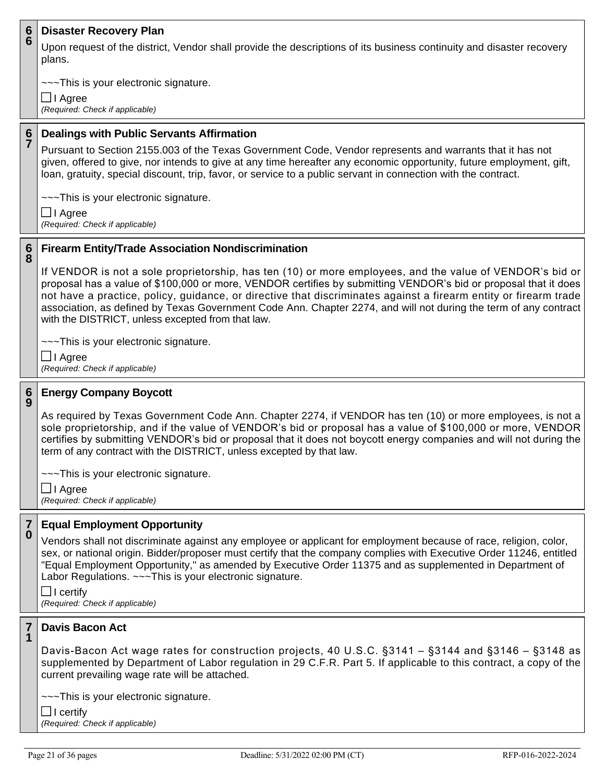#### **6 6 Disaster Recovery Plan**

Upon request of the district, Vendor shall provide the descriptions of its business continuity and disaster recovery plans.

~~~This is your electronic signature.

I Agree *(Required: Check if applicable)*

### **6 7 Dealings with Public Servants Affirmation**

Pursuant to Section 2155.003 of the Texas Government Code, Vendor represents and warrants that it has not given, offered to give, nor intends to give at any time hereafter any economic opportunity, future employment, gift, loan, gratuity, special discount, trip, favor, or service to a public servant in connection with the contract.

~~~This is your electronic signature.

I Agree *(Required: Check if applicable)*

#### **6 8 Firearm Entity/Trade Association Nondiscrimination**

If VENDOR is not a sole proprietorship, has ten (10) or more employees, and the value of VENDOR's bid or proposal has a value of \$100,000 or more, VENDOR certifies by submitting VENDOR's bid or proposal that it does not have a practice, policy, guidance, or directive that discriminates against a firearm entity or firearm trade association, as defined by Texas Government Code Ann. Chapter 2274, and will not during the term of any contract with the DISTRICT, unless excepted from that law.

~~~This is your electronic signature.

I Agree *(Required: Check if applicable)*

#### **6 9 Energy Company Boycott**

As required by Texas Government Code Ann. Chapter 2274, if VENDOR has ten (10) or more employees, is not a sole proprietorship, and if the value of VENDOR's bid or proposal has a value of \$100,000 or more, VENDOR certifies by submitting VENDOR's bid or proposal that it does not boycott energy companies and will not during the term of any contract with the DISTRICT, unless excepted by that law.

~~~This is your electronic signature.

**□** I Agree *(Required: Check if applicable)*

#### **7 0 Equal Employment Opportunity**

Vendors shall not discriminate against any employee or applicant for employment because of race, religion, color, sex, or national origin. Bidder/proposer must certify that the company complies with Executive Order 11246, entitled "Equal Employment Opportunity," as amended by Executive Order 11375 and as supplemented in Department of Labor Regulations. ~~~This is your electronic signature.

 $\Box$  I certify *(Required: Check if applicable)*

#### **7 1 Davis Bacon Act**

Davis-Bacon Act wage rates for construction projects, 40 U.S.C. §3141 – §3144 and §3146 – §3148 as supplemented by Department of Labor regulation in 29 C.F.R. Part 5. If applicable to this contract, a copy of the current prevailing wage rate will be attached.

~~~This is your electronic signature.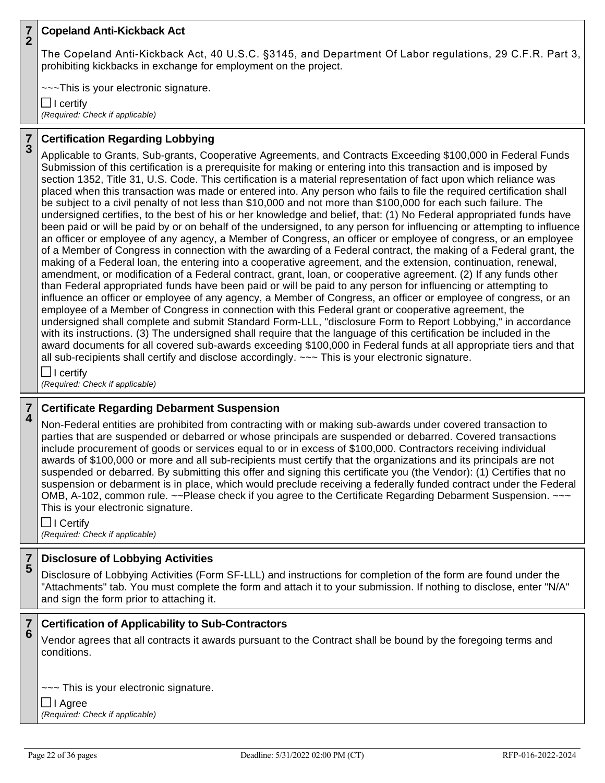### **7 2 Copeland Anti-Kickback Act**

The Copeland Anti-Kickback Act, 40 U.S.C. §3145, and Department Of Labor regulations, 29 C.F.R. Part 3, prohibiting kickbacks in exchange for employment on the project.

~~~This is your electronic signature.

 $\Box$  I certify *(Required: Check if applicable)*

**7 3**

# **Certification Regarding Lobbying**

Applicable to Grants, Sub-grants, Cooperative Agreements, and Contracts Exceeding \$100,000 in Federal Funds Submission of this certification is a prerequisite for making or entering into this transaction and is imposed by section 1352, Title 31, U.S. Code. This certification is a material representation of fact upon which reliance was placed when this transaction was made or entered into. Any person who fails to file the required certification shall be subject to a civil penalty of not less than \$10,000 and not more than \$100,000 for each such failure. The undersigned certifies, to the best of his or her knowledge and belief, that: (1) No Federal appropriated funds have been paid or will be paid by or on behalf of the undersigned, to any person for influencing or attempting to influence an officer or employee of any agency, a Member of Congress, an officer or employee of congress, or an employee of a Member of Congress in connection with the awarding of a Federal contract, the making of a Federal grant, the making of a Federal loan, the entering into a cooperative agreement, and the extension, continuation, renewal, amendment, or modification of a Federal contract, grant, loan, or cooperative agreement. (2) If any funds other than Federal appropriated funds have been paid or will be paid to any person for influencing or attempting to influence an officer or employee of any agency, a Member of Congress, an officer or employee of congress, or an employee of a Member of Congress in connection with this Federal grant or cooperative agreement, the undersigned shall complete and submit Standard Form-LLL, "disclosure Form to Report Lobbying," in accordance with its instructions. (3) The undersigned shall require that the language of this certification be included in the award documents for all covered sub-awards exceeding \$100,000 in Federal funds at all appropriate tiers and that all sub-recipients shall certify and disclose accordingly. ~~~ This is your electronic signature.

 $\Box$  I certify *(Required: Check if applicable)*

#### **7 4 Certificate Regarding Debarment Suspension**

Non-Federal entities are prohibited from contracting with or making sub-awards under covered transaction to parties that are suspended or debarred or whose principals are suspended or debarred. Covered transactions include procurement of goods or services equal to or in excess of \$100,000. Contractors receiving individual awards of \$100,000 or more and all sub-recipients must certify that the organizations and its principals are not suspended or debarred. By submitting this offer and signing this certificate you (the Vendor): (1) Certifies that no suspension or debarment is in place, which would preclude receiving a federally funded contract under the Federal OMB, A-102, common rule. ~~Please check if you agree to the Certificate Regarding Debarment Suspension. ~~~ This is your electronic signature.

 $\Box$  I Certify *(Required: Check if applicable)*

#### **7 5 Disclosure of Lobbying Activities**

Disclosure of Lobbying Activities (Form SF-LLL) and instructions for completion of the form are found under the "Attachments" tab. You must complete the form and attach it to your submission. If nothing to disclose, enter "N/A" and sign the form prior to attaching it.

#### **7 6 Certification of Applicability to Sub-Contractors**

Vendor agrees that all contracts it awards pursuant to the Contract shall be bound by the foregoing terms and conditions.

~~~ This is your electronic signature.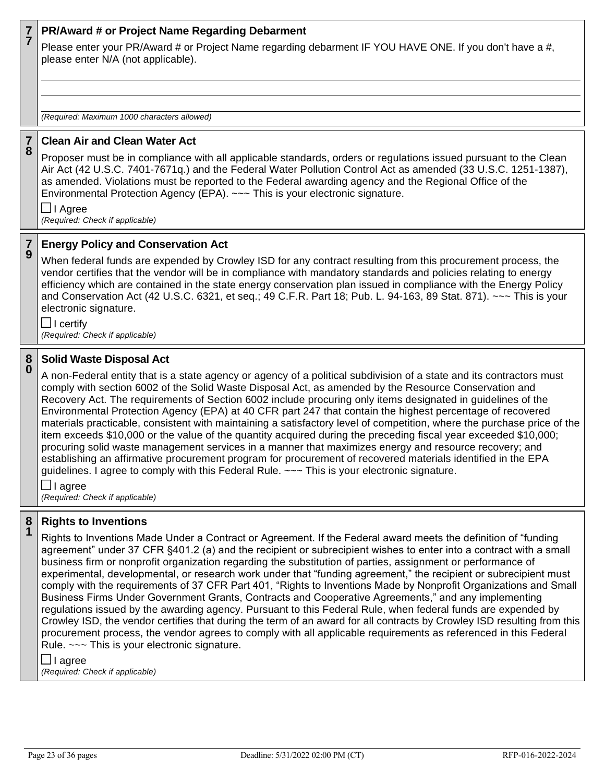### **7 7 PR/Award # or Project Name Regarding Debarment**

Please enter your PR/Award # or Project Name regarding debarment IF YOU HAVE ONE. If you don't have a #, please enter N/A (not applicable).

*(Required: Maximum 1000 characters allowed)*

#### **7 8 Clean Air and Clean Water Act**

Proposer must be in compliance with all applicable standards, orders or regulations issued pursuant to the Clean Air Act (42 U.S.C. 7401-7671q.) and the Federal Water Pollution Control Act as amended (33 U.S.C. 1251-1387), as amended. Violations must be reported to the Federal awarding agency and the Regional Office of the Environmental Protection Agency (EPA). ~~~ This is your electronic signature.

**□** I Agree *(Required: Check if applicable)*

**7 9**

## **Energy Policy and Conservation Act**

When federal funds are expended by Crowley ISD for any contract resulting from this procurement process, the vendor certifies that the vendor will be in compliance with mandatory standards and policies relating to energy efficiency which are contained in the state energy conservation plan issued in compliance with the Energy Policy and Conservation Act (42 U.S.C. 6321, et seq.; 49 C.F.R. Part 18; Pub. L. 94-163, 89 Stat. 871). ~~~ This is your electronic signature.

 $\Box$  I certify *(Required: Check if applicable)*

#### **8 0 Solid Waste Disposal Act**

A non-Federal entity that is a state agency or agency of a political subdivision of a state and its contractors must comply with section 6002 of the Solid Waste Disposal Act, as amended by the Resource Conservation and Recovery Act. The requirements of Section 6002 include procuring only items designated in guidelines of the Environmental Protection Agency (EPA) at 40 CFR part 247 that contain the highest percentage of recovered materials practicable, consistent with maintaining a satisfactory level of competition, where the purchase price of the item exceeds \$10,000 or the value of the quantity acquired during the preceding fiscal year exceeded \$10,000; procuring solid waste management services in a manner that maximizes energy and resource recovery; and establishing an affirmative procurement program for procurement of recovered materials identified in the EPA guidelines. I agree to comply with this Federal Rule. ~~~ This is your electronic signature.

 $\Box$  I agree

*(Required: Check if applicable)*

#### **8 1 Rights to Inventions**

Rights to Inventions Made Under a Contract or Agreement. If the Federal award meets the definition of "funding agreement" under 37 CFR §401.2 (a) and the recipient or subrecipient wishes to enter into a contract with a small business firm or nonprofit organization regarding the substitution of parties, assignment or performance of experimental, developmental, or research work under that "funding agreement," the recipient or subrecipient must comply with the requirements of 37 CFR Part 401, "Rights to Inventions Made by Nonprofit Organizations and Small Business Firms Under Government Grants, Contracts and Cooperative Agreements," and any implementing regulations issued by the awarding agency. Pursuant to this Federal Rule, when federal funds are expended by Crowley ISD, the vendor certifies that during the term of an award for all contracts by Crowley ISD resulting from this procurement process, the vendor agrees to comply with all applicable requirements as referenced in this Federal Rule. ~~~ This is your electronic signature.

 $\Box$  I agree

*(Required: Check if applicable)*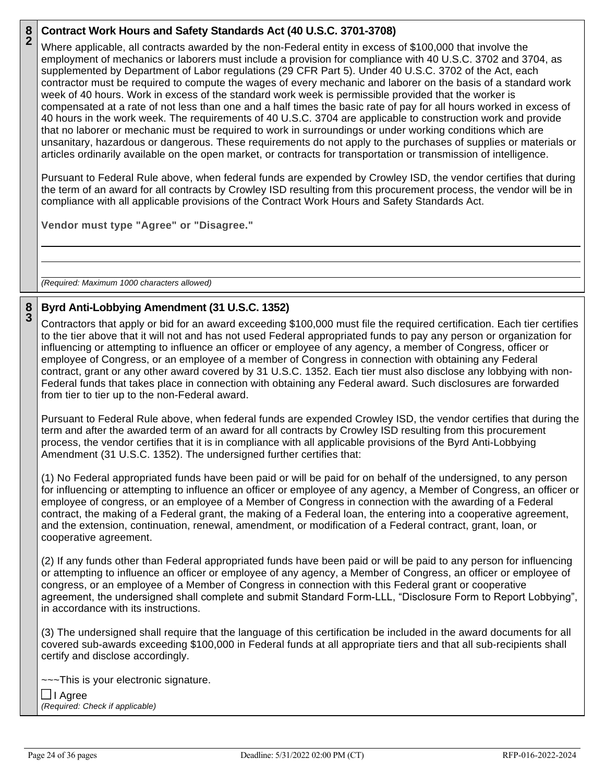### **8 2 Contract Work Hours and Safety Standards Act (40 U.S.C. 3701-3708)**

Where applicable, all contracts awarded by the non-Federal entity in excess of \$100,000 that involve the employment of mechanics or laborers must include a provision for compliance with 40 U.S.C. 3702 and 3704, as supplemented by Department of Labor regulations (29 CFR Part 5). Under 40 U.S.C. 3702 of the Act, each contractor must be required to compute the wages of every mechanic and laborer on the basis of a standard work week of 40 hours. Work in excess of the standard work week is permissible provided that the worker is compensated at a rate of not less than one and a half times the basic rate of pay for all hours worked in excess of 40 hours in the work week. The requirements of 40 U.S.C. 3704 are applicable to construction work and provide that no laborer or mechanic must be required to work in surroundings or under working conditions which are unsanitary, hazardous or dangerous. These requirements do not apply to the purchases of supplies or materials or articles ordinarily available on the open market, or contracts for transportation or transmission of intelligence.

Pursuant to Federal Rule above, when federal funds are expended by Crowley ISD, the vendor certifies that during the term of an award for all contracts by Crowley ISD resulting from this procurement process, the vendor will be in compliance with all applicable provisions of the Contract Work Hours and Safety Standards Act.

**Vendor must type "Agree" or "Disagree."**

*(Required: Maximum 1000 characters allowed)*

### **8 3 Byrd Anti-Lobbying Amendment (31 U.S.C. 1352)**

Contractors that apply or bid for an award exceeding \$100,000 must file the required certification. Each tier certifies to the tier above that it will not and has not used Federal appropriated funds to pay any person or organization for influencing or attempting to influence an officer or employee of any agency, a member of Congress, officer or employee of Congress, or an employee of a member of Congress in connection with obtaining any Federal contract, grant or any other award covered by 31 U.S.C. 1352. Each tier must also disclose any lobbying with non-Federal funds that takes place in connection with obtaining any Federal award. Such disclosures are forwarded from tier to tier up to the non-Federal award.

Pursuant to Federal Rule above, when federal funds are expended Crowley ISD, the vendor certifies that during the term and after the awarded term of an award for all contracts by Crowley ISD resulting from this procurement process, the vendor certifies that it is in compliance with all applicable provisions of the Byrd Anti-Lobbying Amendment (31 U.S.C. 1352). The undersigned further certifies that:

(1) No Federal appropriated funds have been paid or will be paid for on behalf of the undersigned, to any person for influencing or attempting to influence an officer or employee of any agency, a Member of Congress, an officer or employee of congress, or an employee of a Member of Congress in connection with the awarding of a Federal contract, the making of a Federal grant, the making of a Federal loan, the entering into a cooperative agreement, and the extension, continuation, renewal, amendment, or modification of a Federal contract, grant, loan, or cooperative agreement.

(2) If any funds other than Federal appropriated funds have been paid or will be paid to any person for influencing or attempting to influence an officer or employee of any agency, a Member of Congress, an officer or employee of congress, or an employee of a Member of Congress in connection with this Federal grant or cooperative agreement, the undersigned shall complete and submit Standard Form-LLL, "Disclosure Form to Report Lobbying", in accordance with its instructions.

(3) The undersigned shall require that the language of this certification be included in the award documents for all covered sub-awards exceeding \$100,000 in Federal funds at all appropriate tiers and that all sub-recipients shall certify and disclose accordingly.

~~~This is your electronic signature.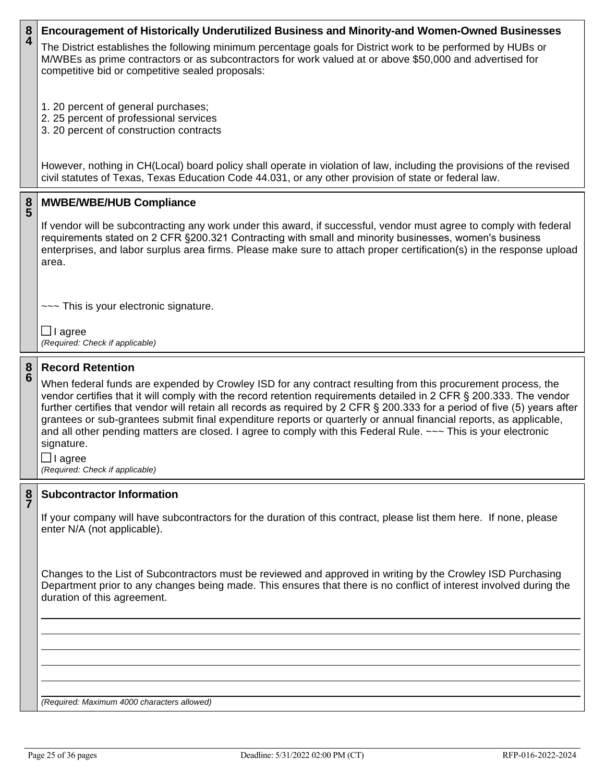### **8 4 Encouragement of Historically Underutilized Business and Minority-and Women-Owned Businesses**

The District establishes the following minimum percentage goals for District work to be performed by HUBs or M/WBEs as prime contractors or as subcontractors for work valued at or above \$50,000 and advertised for competitive bid or competitive sealed proposals:

- 1. 20 percent of general purchases;
- 2. 25 percent of professional services
- 3. 20 percent of construction contracts

However, nothing in CH(Local) board policy shall operate in violation of law, including the provisions of the revised civil statutes of Texas, Texas Education Code 44.031, or any other provision of state or federal law.

#### **8 5 MWBE/WBE/HUB Compliance**

If vendor will be subcontracting any work under this award, if successful, vendor must agree to comply with federal requirements stated on 2 CFR §200.321 Contracting with small and minority businesses, women's business enterprises, and labor surplus area firms. Please make sure to attach proper certification(s) in the response upload area.

~~~ This is your electronic signature.

 $\Box$  I agree *(Required: Check if applicable)*

#### **8 6 Record Retention**

When federal funds are expended by Crowley ISD for any contract resulting from this procurement process, the vendor certifies that it will comply with the record retention requirements detailed in 2 CFR § 200.333. The vendor further certifies that vendor will retain all records as required by 2 CFR § 200.333 for a period of five (5) years after grantees or sub-grantees submit final expenditure reports or quarterly or annual financial reports, as applicable, and all other pending matters are closed. I agree to comply with this Federal Rule. ~~~ This is your electronic signature.

 $\Box$  I agree *(Required: Check if applicable)*

#### **8 7 Subcontractor Information**

If your company will have subcontractors for the duration of this contract, please list them here. If none, please enter N/A (not applicable).

Changes to the List of Subcontractors must be reviewed and approved in writing by the Crowley ISD Purchasing Department prior to any changes being made. This ensures that there is no conflict of interest involved during the duration of this agreement.

*(Required: Maximum 4000 characters allowed)*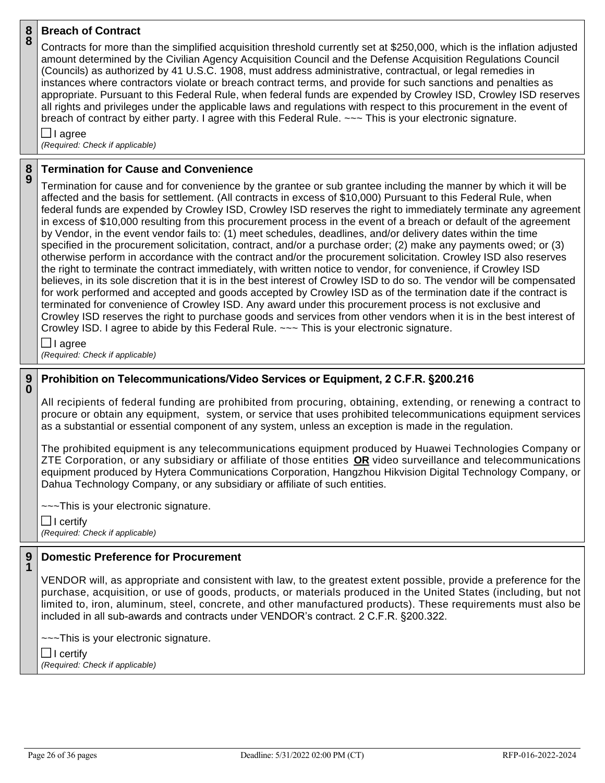#### **8 8 Breach of Contract**

Contracts for more than the simplified acquisition threshold currently set at \$250,000, which is the inflation adjusted amount determined by the Civilian Agency Acquisition Council and the Defense Acquisition Regulations Council (Councils) as authorized by 41 U.S.C. 1908, must address administrative, contractual, or legal remedies in instances where contractors violate or breach contract terms, and provide for such sanctions and penalties as appropriate. Pursuant to this Federal Rule, when federal funds are expended by Crowley ISD, Crowley ISD reserves all rights and privileges under the applicable laws and regulations with respect to this procurement in the event of breach of contract by either party. I agree with this Federal Rule. ~~~ This is your electronic signature.

 $\Box$  I agree *(Required: Check if applicable)*

#### **8 9 Termination for Cause and Convenience**

Termination for cause and for convenience by the grantee or sub grantee including the manner by which it will be affected and the basis for settlement. (All contracts in excess of \$10,000) Pursuant to this Federal Rule, when federal funds are expended by Crowley ISD, Crowley ISD reserves the right to immediately terminate any agreement in excess of \$10,000 resulting from this procurement process in the event of a breach or default of the agreement by Vendor, in the event vendor fails to: (1) meet schedules, deadlines, and/or delivery dates within the time specified in the procurement solicitation, contract, and/or a purchase order; (2) make any payments owed; or (3) otherwise perform in accordance with the contract and/or the procurement solicitation. Crowley ISD also reserves the right to terminate the contract immediately, with written notice to vendor, for convenience, if Crowley ISD believes, in its sole discretion that it is in the best interest of Crowley ISD to do so. The vendor will be compensated for work performed and accepted and goods accepted by Crowley ISD as of the termination date if the contract is terminated for convenience of Crowley ISD. Any award under this procurement process is not exclusive and Crowley ISD reserves the right to purchase goods and services from other vendors when it is in the best interest of Crowley ISD. I agree to abide by this Federal Rule. ~~~ This is your electronic signature.

 $\Box$  I agree

*(Required: Check if applicable)*

## **9 0**

# **Prohibition on Telecommunications/Video Services or Equipment, 2 C.F.R. §200.216**

All recipients of federal funding are prohibited from procuring, obtaining, extending, or renewing a contract to procure or obtain any equipment, system, or service that uses prohibited telecommunications equipment services as a substantial or essential component of any system, unless an exception is made in the regulation.

The prohibited equipment is any telecommunications equipment produced by Huawei Technologies Company or ZTE Corporation, or any subsidiary or affiliate of those entities **OR** video surveillance and telecommunications equipment produced by Hytera Communications Corporation, Hangzhou Hikvision Digital Technology Company, or Dahua Technology Company, or any subsidiary or affiliate of such entities.

~~~This is your electronic signature.

 $\Box$  I certify *(Required: Check if applicable)*

### **9 1 Domestic Preference for Procurement**

VENDOR will, as appropriate and consistent with law, to the greatest extent possible, provide a preference for the purchase, acquisition, or use of goods, products, or materials produced in the United States (including, but not limited to, iron, aluminum, steel, concrete, and other manufactured products). These requirements must also be included in all sub-awards and contracts under VENDOR's contract. 2 C.F.R. §200.322.

~~~This is your electronic signature.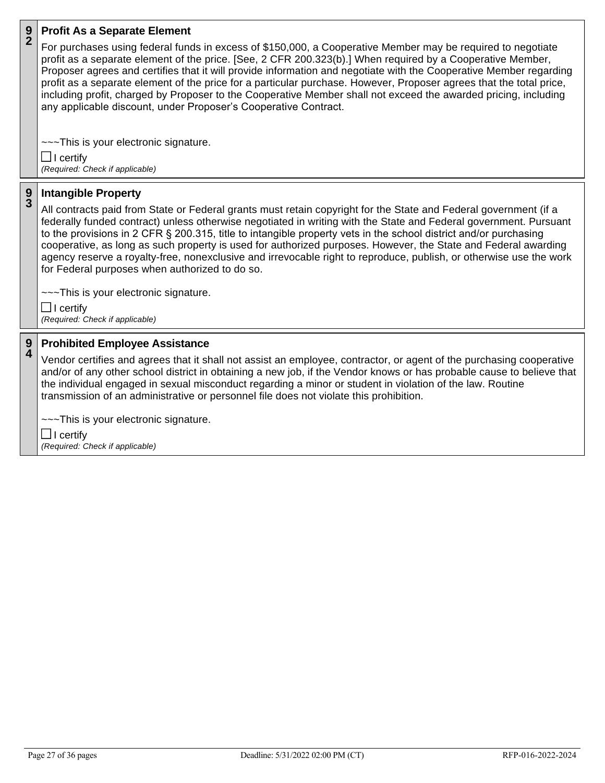### **9 2 Profit As a Separate Element**

For purchases using federal funds in excess of \$150,000, a Cooperative Member may be required to negotiate profit as a separate element of the price. [See, 2 CFR 200.323(b).] When required by a Cooperative Member, Proposer agrees and certifies that it will provide information and negotiate with the Cooperative Member regarding profit as a separate element of the price for a particular purchase. However, Proposer agrees that the total price, including profit, charged by Proposer to the Cooperative Member shall not exceed the awarded pricing, including any applicable discount, under Proposer's Cooperative Contract.

~~~This is your electronic signature.  $\Box$  I certify

*(Required: Check if applicable)*

#### **9 3 Intangible Property**

All contracts paid from State or Federal grants must retain copyright for the State and Federal government (if a federally funded contract) unless otherwise negotiated in writing with the State and Federal government. Pursuant to the provisions in 2 CFR § 200.315, title to intangible property vets in the school district and/or purchasing cooperative, as long as such property is used for authorized purposes. However, the State and Federal awarding agency reserve a royalty-free, nonexclusive and irrevocable right to reproduce, publish, or otherwise use the work for Federal purposes when authorized to do so.

~~~This is your electronic signature.

 $\Box$  I certify *(Required: Check if applicable)*

#### **9 4 Prohibited Employee Assistance**

Vendor certifies and agrees that it shall not assist an employee, contractor, or agent of the purchasing cooperative and/or of any other school district in obtaining a new job, if the Vendor knows or has probable cause to believe that the individual engaged in sexual misconduct regarding a minor or student in violation of the law. Routine transmission of an administrative or personnel file does not violate this prohibition.

~~~This is your electronic signature.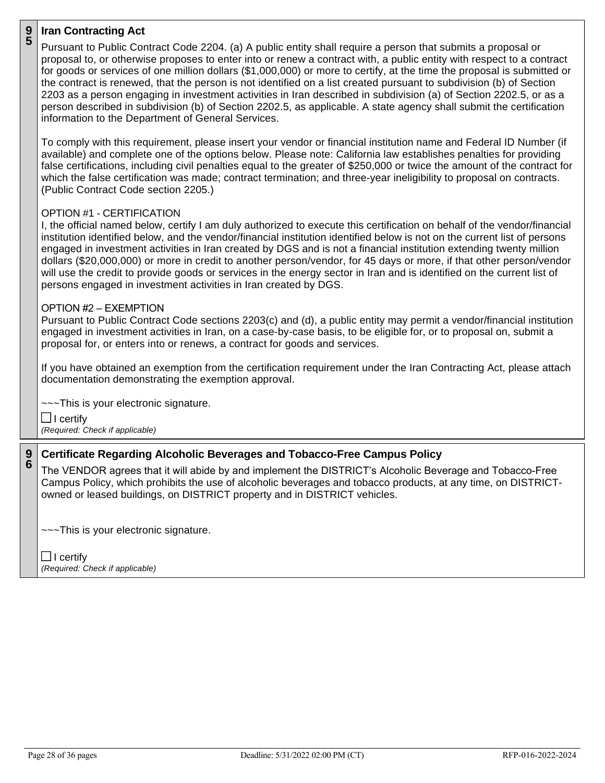### **9 5 Iran Contracting Act**

Pursuant to Public Contract Code 2204. (a) A public entity shall require a person that submits a proposal or proposal to, or otherwise proposes to enter into or renew a contract with, a public entity with respect to a contract for goods or services of one million dollars (\$1,000,000) or more to certify, at the time the proposal is submitted or the contract is renewed, that the person is not identified on a list created pursuant to subdivision (b) of Section 2203 as a person engaging in investment activities in Iran described in subdivision (a) of Section 2202.5, or as a person described in subdivision (b) of Section 2202.5, as applicable. A state agency shall submit the certification information to the Department of General Services. To comply with this requirement, please insert your vendor or financial institution name and Federal ID Number (if available) and complete one of the options below. Please note: California law establishes penalties for providing false certifications, including civil penalties equal to the greater of \$250,000 or twice the amount of the contract for which the false certification was made; contract termination; and three-year ineligibility to proposal on contracts.

(Public Contract Code section 2205.)

# OPTION #1 - CERTIFICATION

I, the official named below, certify I am duly authorized to execute this certification on behalf of the vendor/financial institution identified below, and the vendor/financial institution identified below is not on the current list of persons engaged in investment activities in Iran created by DGS and is not a financial institution extending twenty million dollars (\$20,000,000) or more in credit to another person/vendor, for 45 days or more, if that other person/vendor will use the credit to provide goods or services in the energy sector in Iran and is identified on the current list of persons engaged in investment activities in Iran created by DGS.

## OPTION #2 – EXEMPTION

Pursuant to Public Contract Code sections 2203(c) and (d), a public entity may permit a vendor/financial institution engaged in investment activities in Iran, on a case-by-case basis, to be eligible for, or to proposal on, submit a proposal for, or enters into or renews, a contract for goods and services.

If you have obtained an exemption from the certification requirement under the Iran Contracting Act, please attach documentation demonstrating the exemption approval.

~~~This is your electronic signature.

 $\Box$  I certify *(Required: Check if applicable)*

**9 6**

# **Certificate Regarding Alcoholic Beverages and Tobacco-Free Campus Policy**

The VENDOR agrees that it will abide by and implement the DISTRICT's Alcoholic Beverage and Tobacco-Free Campus Policy, which prohibits the use of alcoholic beverages and tobacco products, at any time, on DISTRICTowned or leased buildings, on DISTRICT property and in DISTRICT vehicles.

~~~This is your electronic signature.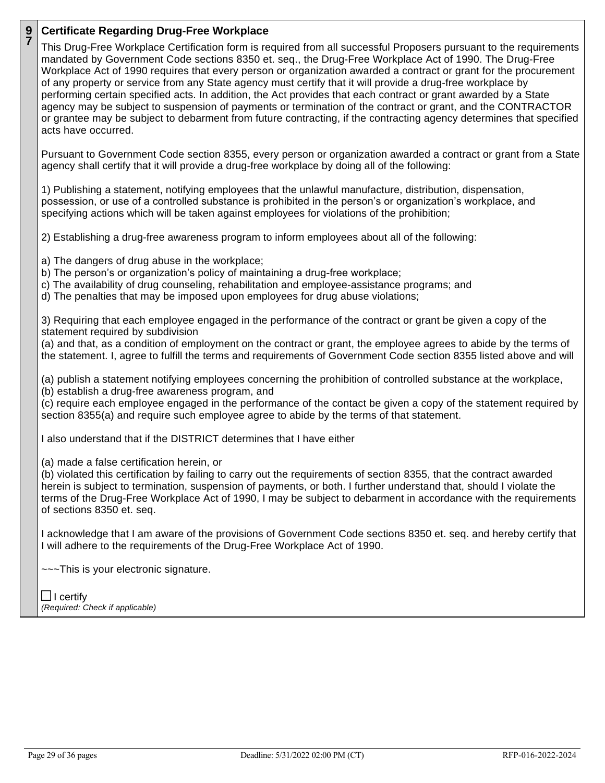### **9 7 Certificate Regarding Drug-Free Workplace**

This Drug-Free Workplace Certification form is required from all successful Proposers pursuant to the requirements mandated by Government Code sections 8350 et. seq., the Drug-Free Workplace Act of 1990. The Drug-Free Workplace Act of 1990 requires that every person or organization awarded a contract or grant for the procurement of any property or service from any State agency must certify that it will provide a drug-free workplace by performing certain specified acts. In addition, the Act provides that each contract or grant awarded by a State agency may be subject to suspension of payments or termination of the contract or grant, and the CONTRACTOR or grantee may be subject to debarment from future contracting, if the contracting agency determines that specified acts have occurred.

Pursuant to Government Code section 8355, every person or organization awarded a contract or grant from a State agency shall certify that it will provide a drug-free workplace by doing all of the following:

1) Publishing a statement, notifying employees that the unlawful manufacture, distribution, dispensation, possession, or use of a controlled substance is prohibited in the person's or organization's workplace, and specifying actions which will be taken against employees for violations of the prohibition;

2) Establishing a drug-free awareness program to inform employees about all of the following:

a) The dangers of drug abuse in the workplace;

- b) The person's or organization's policy of maintaining a drug-free workplace;
- c) The availability of drug counseling, rehabilitation and employee-assistance programs; and
- d) The penalties that may be imposed upon employees for drug abuse violations;

3) Requiring that each employee engaged in the performance of the contract or grant be given a copy of the statement required by subdivision

(a) and that, as a condition of employment on the contract or grant, the employee agrees to abide by the terms of the statement. I, agree to fulfill the terms and requirements of Government Code section 8355 listed above and will

(a) publish a statement notifying employees concerning the prohibition of controlled substance at the workplace, (b) establish a drug-free awareness program, and

(c) require each employee engaged in the performance of the contact be given a copy of the statement required by section 8355(a) and require such employee agree to abide by the terms of that statement.

I also understand that if the DISTRICT determines that I have either

(a) made a false certification herein, or

(b) violated this certification by failing to carry out the requirements of section 8355, that the contract awarded herein is subject to termination, suspension of payments, or both. I further understand that, should I violate the terms of the Drug-Free Workplace Act of 1990, I may be subject to debarment in accordance with the requirements of sections 8350 et. seq.

I acknowledge that I am aware of the provisions of Government Code sections 8350 et. seq. and hereby certify that I will adhere to the requirements of the Drug-Free Workplace Act of 1990.

~~~This is your electronic signature.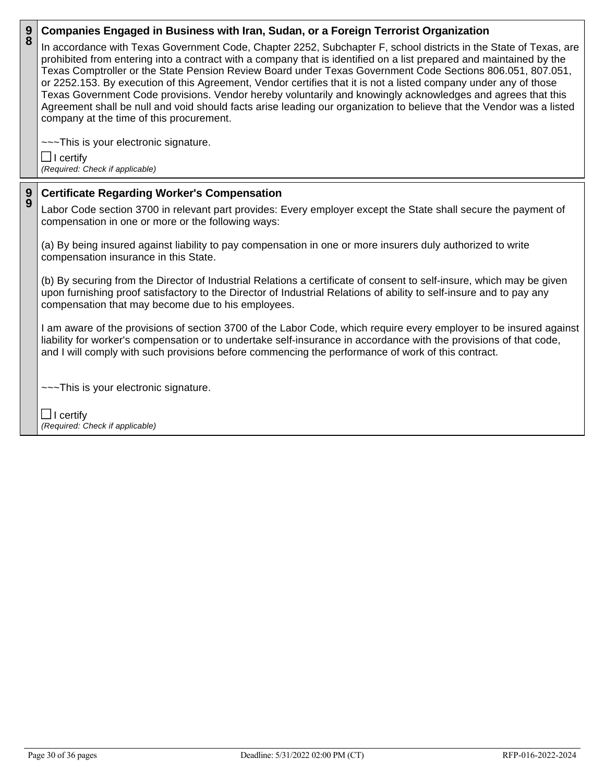| $\frac{9}{8}$ | Companies Engaged in Business with Iran, Sudan, or a Foreign Terrorist Organization                                                                                                                                                                                                                                                                                                                                                                                                                                                                                                                                                                                                                                                                           |  |
|---------------|---------------------------------------------------------------------------------------------------------------------------------------------------------------------------------------------------------------------------------------------------------------------------------------------------------------------------------------------------------------------------------------------------------------------------------------------------------------------------------------------------------------------------------------------------------------------------------------------------------------------------------------------------------------------------------------------------------------------------------------------------------------|--|
|               | In accordance with Texas Government Code, Chapter 2252, Subchapter F, school districts in the State of Texas, are<br>prohibited from entering into a contract with a company that is identified on a list prepared and maintained by the<br>Texas Comptroller or the State Pension Review Board under Texas Government Code Sections 806.051, 807.051,<br>or 2252.153. By execution of this Agreement, Vendor certifies that it is not a listed company under any of those<br>Texas Government Code provisions. Vendor hereby voluntarily and knowingly acknowledges and agrees that this<br>Agreement shall be null and void should facts arise leading our organization to believe that the Vendor was a listed<br>company at the time of this procurement. |  |
|               | --~This is your electronic signature.                                                                                                                                                                                                                                                                                                                                                                                                                                                                                                                                                                                                                                                                                                                         |  |
|               | $\Box$ I certify                                                                                                                                                                                                                                                                                                                                                                                                                                                                                                                                                                                                                                                                                                                                              |  |
|               | (Required: Check if applicable)                                                                                                                                                                                                                                                                                                                                                                                                                                                                                                                                                                                                                                                                                                                               |  |
|               |                                                                                                                                                                                                                                                                                                                                                                                                                                                                                                                                                                                                                                                                                                                                                               |  |
| $\frac{9}{9}$ | <b>Certificate Regarding Worker's Compensation</b>                                                                                                                                                                                                                                                                                                                                                                                                                                                                                                                                                                                                                                                                                                            |  |
|               | Labor Code section 3700 in relevant part provides: Every employer except the State shall secure the payment of<br>compensation in one or more or the following ways:                                                                                                                                                                                                                                                                                                                                                                                                                                                                                                                                                                                          |  |
|               | (a) By being insured against liability to pay compensation in one or more insurers duly authorized to write<br>compensation insurance in this State.                                                                                                                                                                                                                                                                                                                                                                                                                                                                                                                                                                                                          |  |
|               | (b) By securing from the Director of Industrial Relations a certificate of consent to self-insure, which may be given<br>upon furnishing proof satisfactory to the Director of Industrial Relations of ability to self-insure and to pay any<br>compensation that may become due to his employees.                                                                                                                                                                                                                                                                                                                                                                                                                                                            |  |
|               | I am aware of the provisions of section 3700 of the Labor Code, which require every employer to be insured against<br>liability for worker's compensation or to undertake self-insurance in accordance with the provisions of that code,<br>and I will comply with such provisions before commencing the performance of work of this contract.                                                                                                                                                                                                                                                                                                                                                                                                                |  |
|               | ---This is your electronic signature.                                                                                                                                                                                                                                                                                                                                                                                                                                                                                                                                                                                                                                                                                                                         |  |
|               | $\Box$ Loomify                                                                                                                                                                                                                                                                                                                                                                                                                                                                                                                                                                                                                                                                                                                                                |  |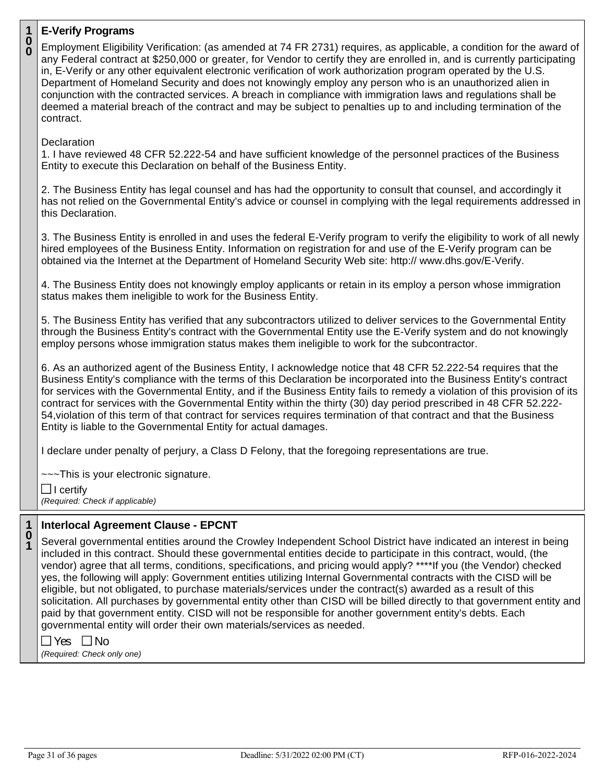# **1**

| 1                         | <b>E-Verify Programs</b>                                                                                                                                                                                                                                                                                                                                                                                                                                                                                                                                                                                                                                                                                                            |
|---------------------------|-------------------------------------------------------------------------------------------------------------------------------------------------------------------------------------------------------------------------------------------------------------------------------------------------------------------------------------------------------------------------------------------------------------------------------------------------------------------------------------------------------------------------------------------------------------------------------------------------------------------------------------------------------------------------------------------------------------------------------------|
| $\overset{\mathbf{0}}{0}$ | Employment Eligibility Verification: (as amended at 74 FR 2731) requires, as applicable, a condition for the award of<br>any Federal contract at \$250,000 or greater, for Vendor to certify they are enrolled in, and is currently participating<br>in, E-Verify or any other equivalent electronic verification of work authorization program operated by the U.S.<br>Department of Homeland Security and does not knowingly employ any person who is an unauthorized alien in<br>conjunction with the contracted services. A breach in compliance with immigration laws and regulations shall be<br>deemed a material breach of the contract and may be subject to penalties up to and including termination of the<br>contract. |
|                           | Declaration<br>1. I have reviewed 48 CFR 52.222-54 and have sufficient knowledge of the personnel practices of the Business<br>Entity to execute this Declaration on behalf of the Business Entity.                                                                                                                                                                                                                                                                                                                                                                                                                                                                                                                                 |
|                           | 2. The Business Entity has legal counsel and has had the opportunity to consult that counsel, and accordingly it<br>has not relied on the Governmental Entity's advice or counsel in complying with the legal requirements addressed in<br>this Declaration.                                                                                                                                                                                                                                                                                                                                                                                                                                                                        |
|                           | 3. The Business Entity is enrolled in and uses the federal E-Verify program to verify the eligibility to work of all newly<br>hired employees of the Business Entity. Information on registration for and use of the E-Verify program can be<br>obtained via the Internet at the Department of Homeland Security Web site: http:// www.dhs.gov/E-Verify.                                                                                                                                                                                                                                                                                                                                                                            |
|                           | 4. The Business Entity does not knowingly employ applicants or retain in its employ a person whose immigration<br>status makes them ineligible to work for the Business Entity.                                                                                                                                                                                                                                                                                                                                                                                                                                                                                                                                                     |
|                           | 5. The Business Entity has verified that any subcontractors utilized to deliver services to the Governmental Entity<br>through the Business Entity's contract with the Governmental Entity use the E-Verify system and do not knowingly<br>employ persons whose immigration status makes them ineligible to work for the subcontractor.                                                                                                                                                                                                                                                                                                                                                                                             |
|                           | 6. As an authorized agent of the Business Entity, I acknowledge notice that 48 CFR 52.222-54 requires that the<br>Business Entity's compliance with the terms of this Declaration be incorporated into the Business Entity's contract<br>for services with the Governmental Entity, and if the Business Entity fails to remedy a violation of this provision of its<br>contract for services with the Governmental Entity within the thirty (30) day period prescribed in 48 CFR 52.222-<br>54, violation of this term of that contract for services requires termination of that contract and that the Business<br>Entity is liable to the Governmental Entity for actual damages.                                                 |
|                           | I declare under penalty of perjury, a Class D Felony, that the foregoing representations are true.                                                                                                                                                                                                                                                                                                                                                                                                                                                                                                                                                                                                                                  |
|                           | --~This is your electronic signature.<br>$\Box$ I certify<br>(Required: Check if applicable)                                                                                                                                                                                                                                                                                                                                                                                                                                                                                                                                                                                                                                        |
| 1                         | <b>Interlocal Agreement Clause - EPCNT</b>                                                                                                                                                                                                                                                                                                                                                                                                                                                                                                                                                                                                                                                                                          |
| 0                         | Several governmental entities around the Crowley Independent School District have indicated an interest in being<br>included in this contract. Should these governmental entities decide to participate in this contract, would, (the                                                                                                                                                                                                                                                                                                                                                                                                                                                                                               |
|                           | vendor) agree that all terms, conditions, specifications, and pricing would apply? ****If you (the Vendor) checked<br>yes, the following will apply: Government entities utilizing Internal Governmental contracts with the CISD will be                                                                                                                                                                                                                                                                                                                                                                                                                                                                                            |
|                           | eligible, but not obligated, to purchase materials/services under the contract(s) awarded as a result of this<br>solicitation. All purchases by governmental entity other than CISD will be billed directly to that government entity and<br>paid by that government entity. CISD will not be responsible for another government entity's debts. Each                                                                                                                                                                                                                                                                                                                                                                               |

governmental entity will order their own materials/services as needed.

 $\Box$  Yes  $\Box$  No *(Required: Check only one)*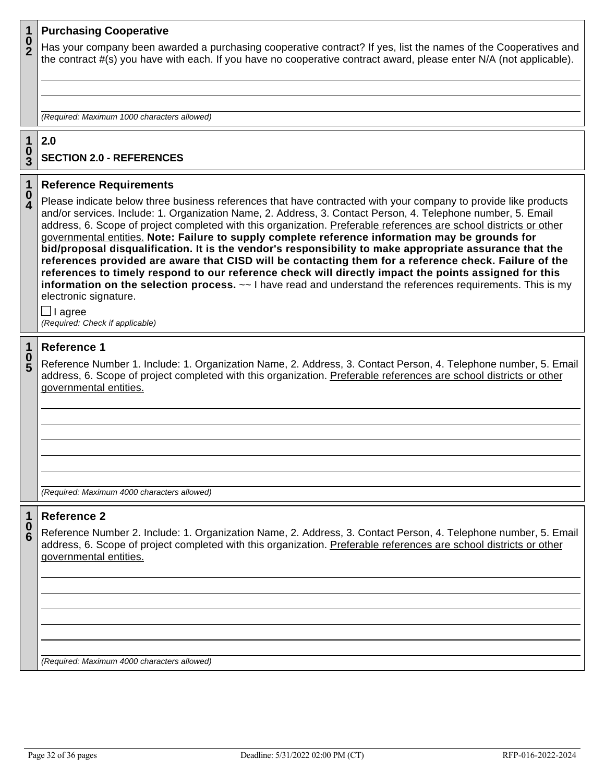#### **1 Purchasing Cooperative**

**0 2** Has your company been awarded a purchasing cooperative contract? If yes, list the names of the Cooperatives and the contract #(s) you have with each. If you have no cooperative contract award, please enter N/A (not applicable).

*(Required: Maximum 1000 characters allowed)*

#### **1 0 2.0**

**3**

# **SECTION 2.0 - REFERENCES**

#### **1 0 Reference Requirements**

**4** Please indicate below three business references that have contracted with your company to provide like products and/or services. Include: 1. Organization Name, 2. Address, 3. Contact Person, 4. Telephone number, 5. Email address, 6. Scope of project completed with this organization. Preferable references are school districts or other governmental entities. **Note: Failure to supply complete reference information may be grounds for bid/proposal disqualification. It is the vendor's responsibility to make appropriate assurance that the references provided are aware that CISD will be contacting them for a reference check. Failure of the references to timely respond to our reference check will directly impact the points assigned for this information on the selection process.**  $\sim$  I have read and understand the references requirements. This is my electronic signature.

 $\Box$  I agree *(Required: Check if applicable)*

#### **1 Reference 1**

**0 5** Reference Number 1. Include: 1. Organization Name, 2. Address, 3. Contact Person, 4. Telephone number, 5. Email address, 6. Scope of project completed with this organization. Preferable references are school districts or other governmental entities.

*(Required: Maximum 4000 characters allowed)*

#### **1 0 Reference 2**

**6** Reference Number 2. Include: 1. Organization Name, 2. Address, 3. Contact Person, 4. Telephone number, 5. Email address, 6. Scope of project completed with this organization. Preferable references are school districts or other governmental entities.

*(Required: Maximum 4000 characters allowed)*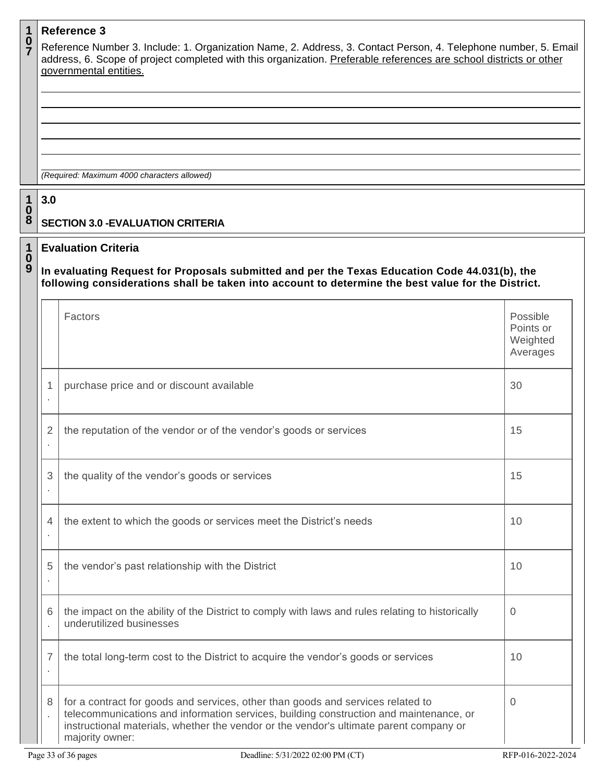|                                            |                | <b>Reference 3</b>                                                                                                                                                                                                                                                                     |                                               |
|--------------------------------------------|----------------|----------------------------------------------------------------------------------------------------------------------------------------------------------------------------------------------------------------------------------------------------------------------------------------|-----------------------------------------------|
| $\frac{0}{7}$                              |                | Reference Number 3. Include: 1. Organization Name, 2. Address, 3. Contact Person, 4. Telephone number, 5. Email<br>address, 6. Scope of project completed with this organization. Preferable references are school districts or other<br>governmental entities.                        |                                               |
|                                            |                |                                                                                                                                                                                                                                                                                        |                                               |
|                                            |                |                                                                                                                                                                                                                                                                                        |                                               |
|                                            |                |                                                                                                                                                                                                                                                                                        |                                               |
|                                            |                |                                                                                                                                                                                                                                                                                        |                                               |
|                                            |                |                                                                                                                                                                                                                                                                                        |                                               |
|                                            |                | (Required: Maximum 4000 characters allowed)                                                                                                                                                                                                                                            |                                               |
|                                            | 3.0            |                                                                                                                                                                                                                                                                                        |                                               |
| $\begin{array}{c} 1 \\ 0 \\ 8 \end{array}$ |                | <b>SECTION 3.0 - EVALUATION CRITERIA</b>                                                                                                                                                                                                                                               |                                               |
| $\mathbf 1$                                |                | <b>Evaluation Criteria</b>                                                                                                                                                                                                                                                             |                                               |
| $\boldsymbol{0}$<br>9                      |                | In evaluating Request for Proposals submitted and per the Texas Education Code 44.031(b), the<br>following considerations shall be taken into account to determine the best value for the District.                                                                                    |                                               |
|                                            |                | Factors                                                                                                                                                                                                                                                                                | Possible<br>Points or<br>Weighted<br>Averages |
|                                            | 1              | purchase price and or discount available                                                                                                                                                                                                                                               | 30                                            |
|                                            | 2              | the reputation of the vendor or of the vendor's goods or services                                                                                                                                                                                                                      | 15                                            |
|                                            | 3              | the quality of the vendor's goods or services                                                                                                                                                                                                                                          | 15                                            |
|                                            | $\overline{4}$ | the extent to which the goods or services meet the District's needs                                                                                                                                                                                                                    | 10                                            |
|                                            | 5              | the vendor's past relationship with the District                                                                                                                                                                                                                                       | 10                                            |
|                                            | 6              | the impact on the ability of the District to comply with laws and rules relating to historically<br>underutilized businesses                                                                                                                                                           | $\Omega$                                      |
|                                            | 7              | the total long-term cost to the District to acquire the vendor's goods or services                                                                                                                                                                                                     | 10                                            |
|                                            | 8              | for a contract for goods and services, other than goods and services related to<br>telecommunications and information services, building construction and maintenance, or<br>instructional materials, whether the vendor or the vendor's ultimate parent company or<br>majority owner: | $\Omega$                                      |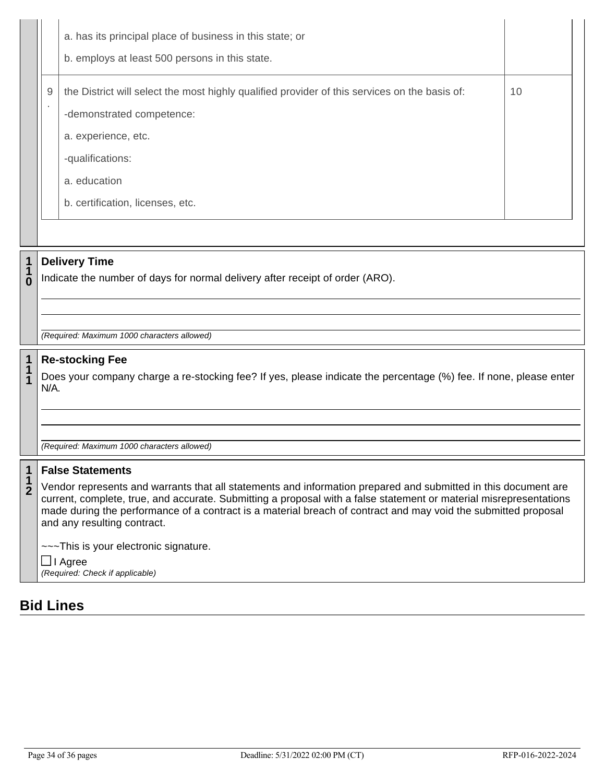|        | a. has its principal place of business in this state; or<br>b. employs at least 500 persons in this state.                 |    |
|--------|----------------------------------------------------------------------------------------------------------------------------|----|
| 9<br>٠ | the District will select the most highly qualified provider of this services on the basis of:<br>-demonstrated competence: | 10 |
|        | a. experience, etc.<br>-qualifications:                                                                                    |    |
|        | a. education<br>b. certification, licenses, etc.                                                                           |    |

# **Delivery Time**

**1**

**1 0** Indicate the number of days for normal delivery after receipt of order (ARO).

*(Required: Maximum 1000 characters allowed)*

#### **1 Re-stocking Fee**

**1 1** Does your company charge a re-stocking fee? If yes, please indicate the percentage (%) fee. If none, please enter N/A.

*(Required: Maximum 1000 characters allowed)*

#### **1 False Statements**

**1 2** Vendor represents and warrants that all statements and information prepared and submitted in this document are current, complete, true, and accurate. Submitting a proposal with a false statement or material misrepresentations made during the performance of a contract is a material breach of contract and may void the submitted proposal and any resulting contract.

~~~This is your electronic signature.

 $\Box$  I Agree *(Required: Check if applicable)*

# **Bid Lines**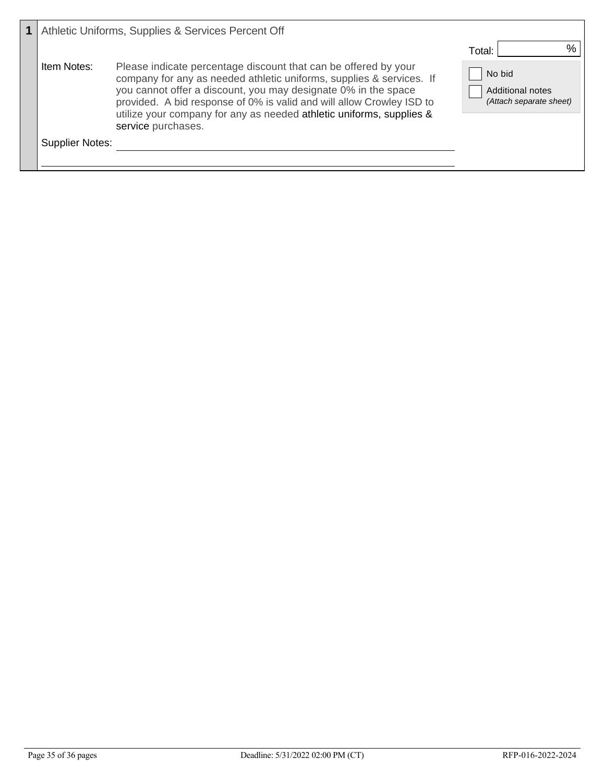|                 | Athletic Uniforms, Supplies & Services Percent Off                                                                                                                                                                                                                                                                                                                               |                                                                                         |
|-----------------|----------------------------------------------------------------------------------------------------------------------------------------------------------------------------------------------------------------------------------------------------------------------------------------------------------------------------------------------------------------------------------|-----------------------------------------------------------------------------------------|
| Item Notes:     | Please indicate percentage discount that can be offered by your<br>company for any as needed athletic uniforms, supplies & services. If<br>you cannot offer a discount, you may designate 0% in the space<br>provided. A bid response of 0% is valid and will allow Crowley ISD to<br>utilize your company for any as needed athletic uniforms, supplies &<br>service purchases. | $\frac{0}{0}$<br>Total:<br>No bid<br><b>Additional notes</b><br>(Attach separate sheet) |
| Supplier Notes: |                                                                                                                                                                                                                                                                                                                                                                                  |                                                                                         |